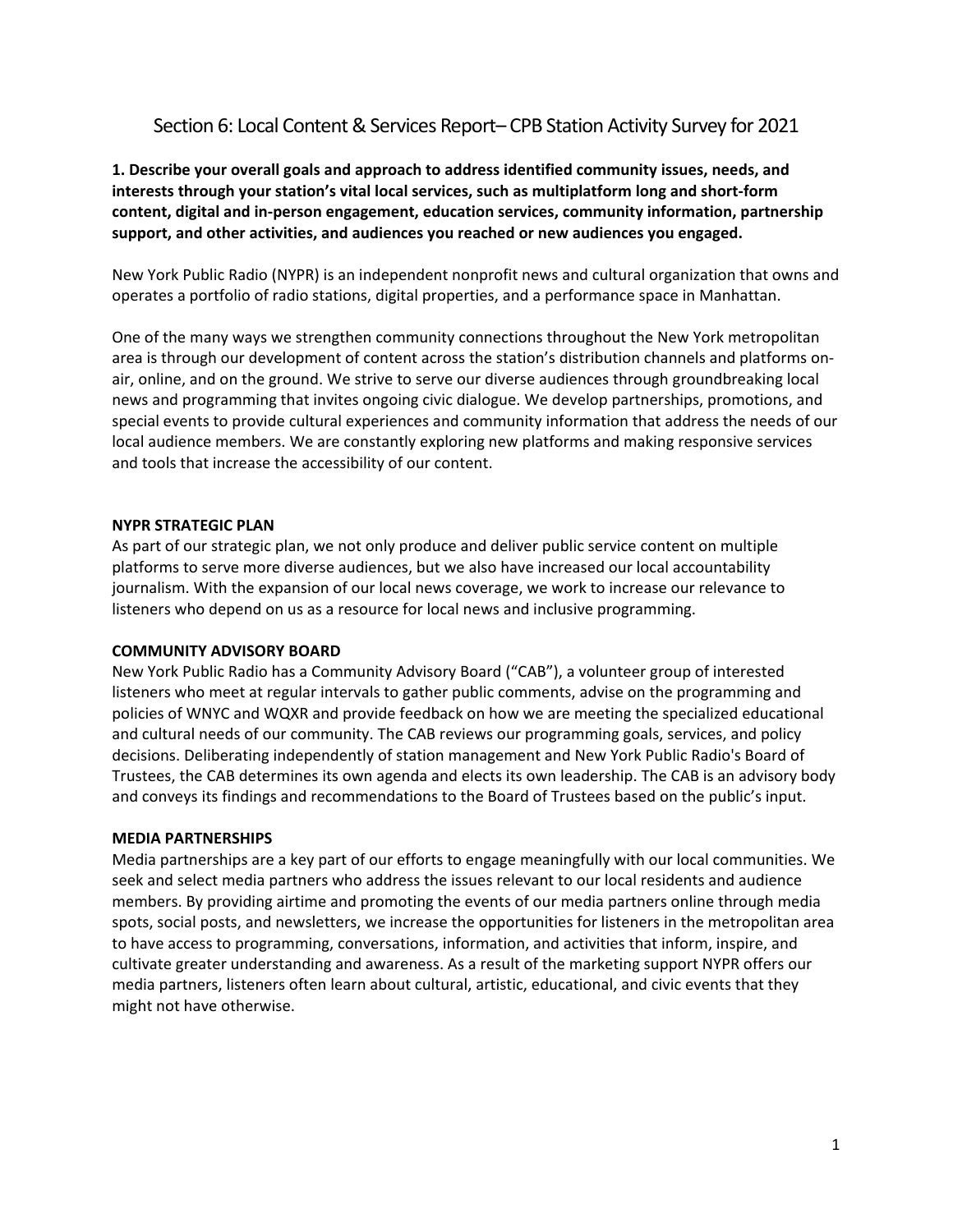# Section 6: Local Content & Services Report– CPB Station Activity Survey for 2021

**1. Describe your overall goals and approach to address identified community issues, needs, and interests through your station's vital local services, such as multiplatform long and short-form content, digital and in-person engagement, education services, community information, partnership support, and other activities, and audiences you reached or new audiences you engaged.**

New York Public Radio (NYPR) is an independent nonprofit news and cultural organization that owns and operates a portfolio of radio stations, digital properties, and a performance space in Manhattan.

One of the many ways we strengthen community connections throughout the New York metropolitan area is through our development of content across the station's distribution channels and platforms onair, online, and on the ground. We strive to serve our diverse audiences through groundbreaking local news and programming that invites ongoing civic dialogue. We develop partnerships, promotions, and special events to provide cultural experiences and community information that address the needs of our local audience members. We are constantly exploring new platforms and making responsive services and tools that increase the accessibility of our content.

## **NYPR STRATEGIC PLAN**

As part of our strategic plan, we not only produce and deliver public service content on multiple platforms to serve more diverse audiences, but we also have increased our local accountability journalism. With the expansion of our local news coverage, we work to increase our relevance to listeners who depend on us as a resource for local news and inclusive programming.

### **COMMUNITY ADVISORY BOARD**

New York Public Radio has a Community Advisory Board ("CAB"), a volunteer group of interested listeners who meet at regular intervals to gather public comments, advise on the programming and policies of WNYC and WQXR and provide feedback on how we are meeting the specialized educational and cultural needs of our community. The CAB reviews our programming goals, services, and policy decisions. Deliberating independently of station management and New York Public Radio's Board of Trustees, the CAB determines its own agenda and elects its own leadership. The CAB is an advisory body and conveys its findings and recommendations to the Board of Trustees based on the public's input.

### **MEDIA PARTNERSHIPS**

Media partnerships are a key part of our efforts to engage meaningfully with our local communities. We seek and select media partners who address the issues relevant to our local residents and audience members. By providing airtime and promoting the events of our media partners online through media spots, social posts, and newsletters, we increase the opportunities for listeners in the metropolitan area to have access to programming, conversations, information, and activities that inform, inspire, and cultivate greater understanding and awareness. As a result of the marketing support NYPR offers our media partners, listeners often learn about cultural, artistic, educational, and civic events that they might not have otherwise.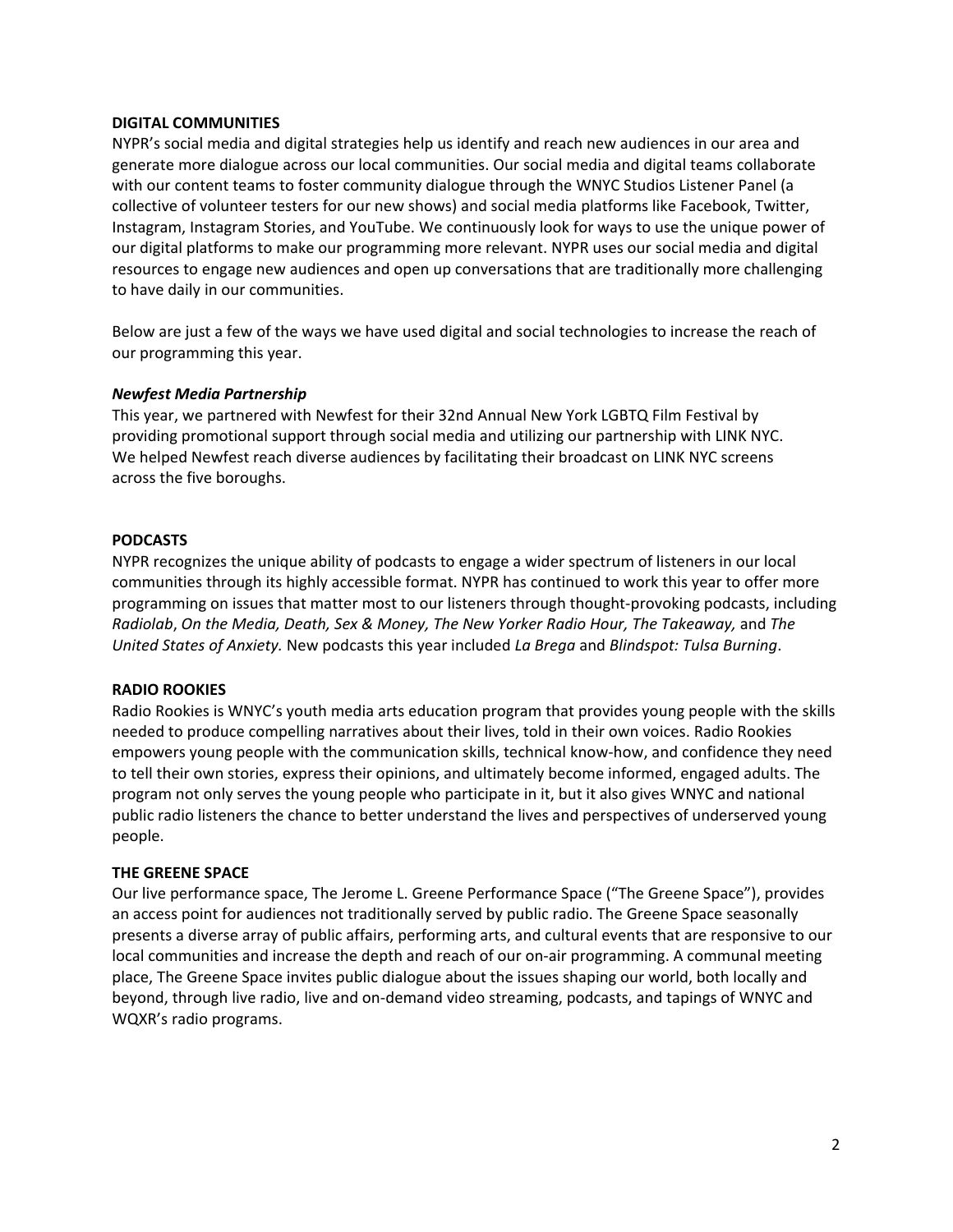### **DIGITAL COMMUNITIES**

NYPR's social media and digital strategies help us identify and reach new audiences in our area and generate more dialogue across our local communities. Our social media and digital teams collaborate with our content teams to foster community dialogue through the WNYC Studios Listener Panel (a collective of volunteer testers for our new shows) and social media platforms like Facebook, Twitter, Instagram, Instagram Stories, and YouTube. We continuously look for ways to use the unique power of our digital platforms to make our programming more relevant. NYPR uses our social media and digital resources to engage new audiences and open up conversations that are traditionally more challenging to have daily in our communities.

Below are just a few of the ways we have used digital and social technologies to increase the reach of our programming this year.

## *Newfest Media Partnership*

This year, we partnered with Newfest for their 32nd Annual New York LGBTQ Film Festival by providing promotional support through social media and utilizing our partnership with LINK NYC. We helped Newfest reach diverse audiences by facilitating their broadcast on LINK NYC screens across the five boroughs.

## **PODCASTS**

NYPR recognizes the unique ability of podcasts to engage a wider spectrum of listeners in our local communities through its highly accessible format. NYPR has continued to work this year to offer more programming on issues that matter most to our listeners through thought-provoking podcasts, including *Radiolab*, *On the Media, Death, Sex & Money, The New Yorker Radio Hour, The Takeaway,* and *The United States of Anxiety.* New podcasts this year included *La Brega* and *Blindspot: Tulsa Burning*.

### **RADIO ROOKIES**

Radio Rookies is WNYC's youth media arts education program that provides young people with the skills needed to produce compelling narratives about their lives, told in their own voices. Radio Rookies empowers young people with the communication skills, technical know-how, and confidence they need to tell their own stories, express their opinions, and ultimately become informed, engaged adults. The program not only serves the young people who participate in it, but it also gives WNYC and national public radio listeners the chance to better understand the lives and perspectives of underserved young people.

### **THE GREENE SPACE**

Our live performance space, The Jerome L. Greene Performance Space ("The Greene Space"), provides an access point for audiences not traditionally served by public radio. The Greene Space seasonally presents a diverse array of public affairs, performing arts, and cultural events that are responsive to our local communities and increase the depth and reach of our on-air programming. A communal meeting place, The Greene Space invites public dialogue about the issues shaping our world, both locally and beyond, through live radio, live and on-demand video streaming, podcasts, and tapings of WNYC and WQXR's radio programs.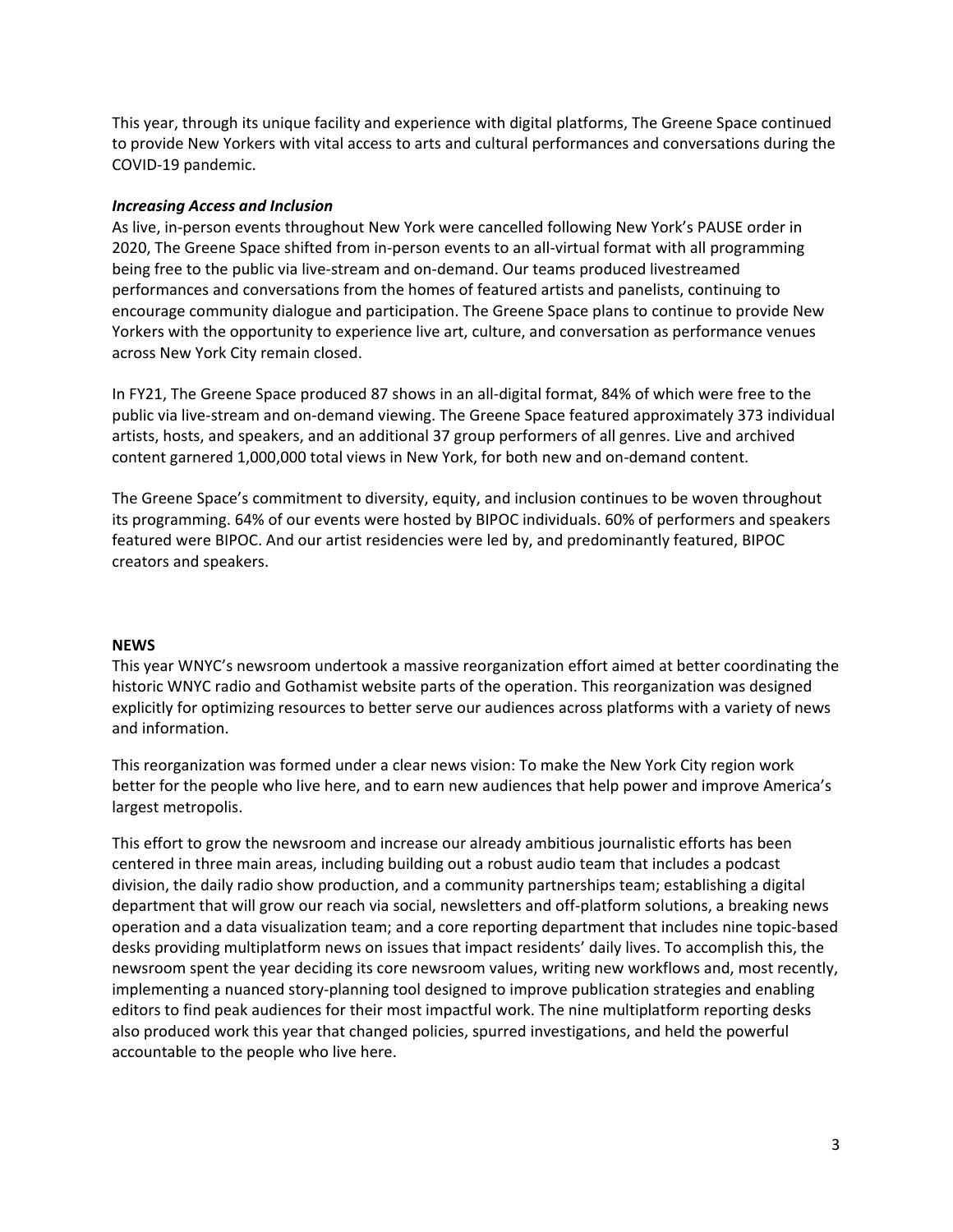This year, through its unique facility and experience with digital platforms, The Greene Space continued to provide New Yorkers with vital access to arts and cultural performances and conversations during the COVID-19 pandemic.

### *Increasing Access and Inclusion*

As live, in-person events throughout New York were cancelled following New York's PAUSE order in 2020, The Greene Space shifted from in-person events to an all-virtual format with all programming being free to the public via live-stream and on-demand. Our teams produced livestreamed performances and conversations from the homes of featured artists and panelists, continuing to encourage community dialogue and participation. The Greene Space plans to continue to provide New Yorkers with the opportunity to experience live art, culture, and conversation as performance venues across New York City remain closed.

In FY21, The Greene Space produced 87 shows in an all-digital format, 84% of which were free to the public via live-stream and on-demand viewing. The Greene Space featured approximately 373 individual artists, hosts, and speakers, and an additional 37 group performers of all genres. Live and archived content garnered 1,000,000 total views in New York, for both new and on-demand content.

The Greene Space's commitment to diversity, equity, and inclusion continues to be woven throughout its programming. 64% of our events were hosted by BIPOC individuals. 60% of performers and speakers featured were BIPOC. And our artist residencies were led by, and predominantly featured, BIPOC creators and speakers.

### **NEWS**

This year WNYC's newsroom undertook a massive reorganization effort aimed at better coordinating the historic WNYC radio and Gothamist website parts of the operation. This reorganization was designed explicitly for optimizing resources to better serve our audiences across platforms with a variety of news and information.

This reorganization was formed under a clear news vision: To make the New York City region work better for the people who live here, and to earn new audiences that help power and improve America's largest metropolis.

This effort to grow the newsroom and increase our already ambitious journalistic efforts has been centered in three main areas, including building out a robust audio team that includes a podcast division, the daily radio show production, and a community partnerships team; establishing a digital department that will grow our reach via social, newsletters and off-platform solutions, a breaking news operation and a data visualization team; and a core reporting department that includes nine topic-based desks providing multiplatform news on issues that impact residents' daily lives. To accomplish this, the newsroom spent the year deciding its core newsroom values, writing new workflows and, most recently, implementing a nuanced story-planning tool designed to improve publication strategies and enabling editors to find peak audiences for their most impactful work. The nine multiplatform reporting desks also produced work this year that changed policies, spurred investigations, and held the powerful accountable to the people who live here.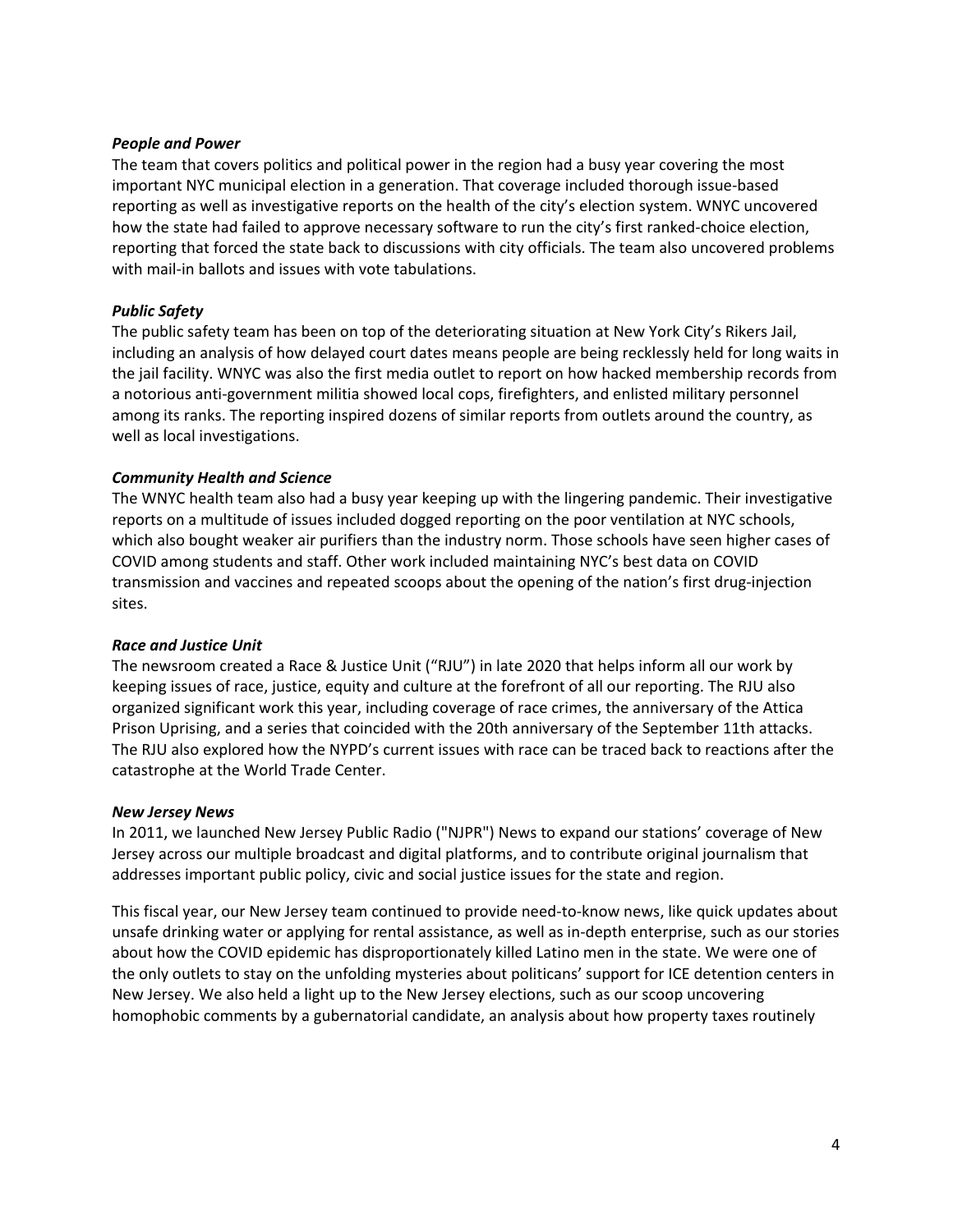### *People and Power*

The team that covers politics and political power in the region had a busy year covering the most important NYC municipal election in a generation. That coverage included thorough issue-based reporting as well as investigative reports on the health of the city's election system. WNYC uncovered how the state had failed to approve necessary software to run the city's first ranked-choice election, reporting that forced the state back to discussions with city officials. The team also uncovered problems with mail-in ballots and issues with vote tabulations.

## *Public Safety*

The public safety team has been on top of the deteriorating situation at New York City's Rikers Jail, including an analysis of how delayed court dates means people are being recklessly held for long waits in the jail facility. WNYC was also the first media outlet to report on how hacked membership records from a notorious anti-government militia showed local cops, firefighters, and enlisted military personnel among its ranks. The reporting inspired dozens of similar reports from outlets around the country, as well as local investigations.

# *Community Health and Science*

The WNYC health team also had a busy year keeping up with the lingering pandemic. Their investigative reports on a multitude of issues included dogged reporting on the poor ventilation at NYC schools, which also bought weaker air purifiers than the industry norm. Those schools have seen higher cases of COVID among students and staff. Other work included maintaining NYC's best data on COVID transmission and vaccines and repeated scoops about the opening of the nation's first drug-injection sites.

## *Race and Justice Unit*

The newsroom created a Race & Justice Unit ("RJU") in late 2020 that helps inform all our work by keeping issues of race, justice, equity and culture at the forefront of all our reporting. The RJU also organized significant work this year, including coverage of race crimes, the anniversary of the Attica Prison Uprising, and a series that coincided with the 20th anniversary of the September 11th attacks. The RJU also explored how the NYPD's current issues with race can be traced back to reactions after the catastrophe at the World Trade Center.

## *New Jersey News*

In 2011, we launched New Jersey Public Radio ("NJPR") News to expand our stations' coverage of New Jersey across our multiple broadcast and digital platforms, and to contribute original journalism that addresses important public policy, civic and social justice issues for the state and region.

This fiscal year, our New Jersey team continued to provide need-to-know news, like quick updates about unsafe drinking water or applying for rental assistance, as well as in-depth enterprise, such as our stories about how the COVID epidemic has disproportionately killed Latino men in the state. We were one of the only outlets to stay on the unfolding mysteries about politicans' support for ICE detention centers in New Jersey. We also held a light up to the New Jersey elections, such as our scoop uncovering homophobic comments by a gubernatorial candidate, an analysis about how property taxes routinely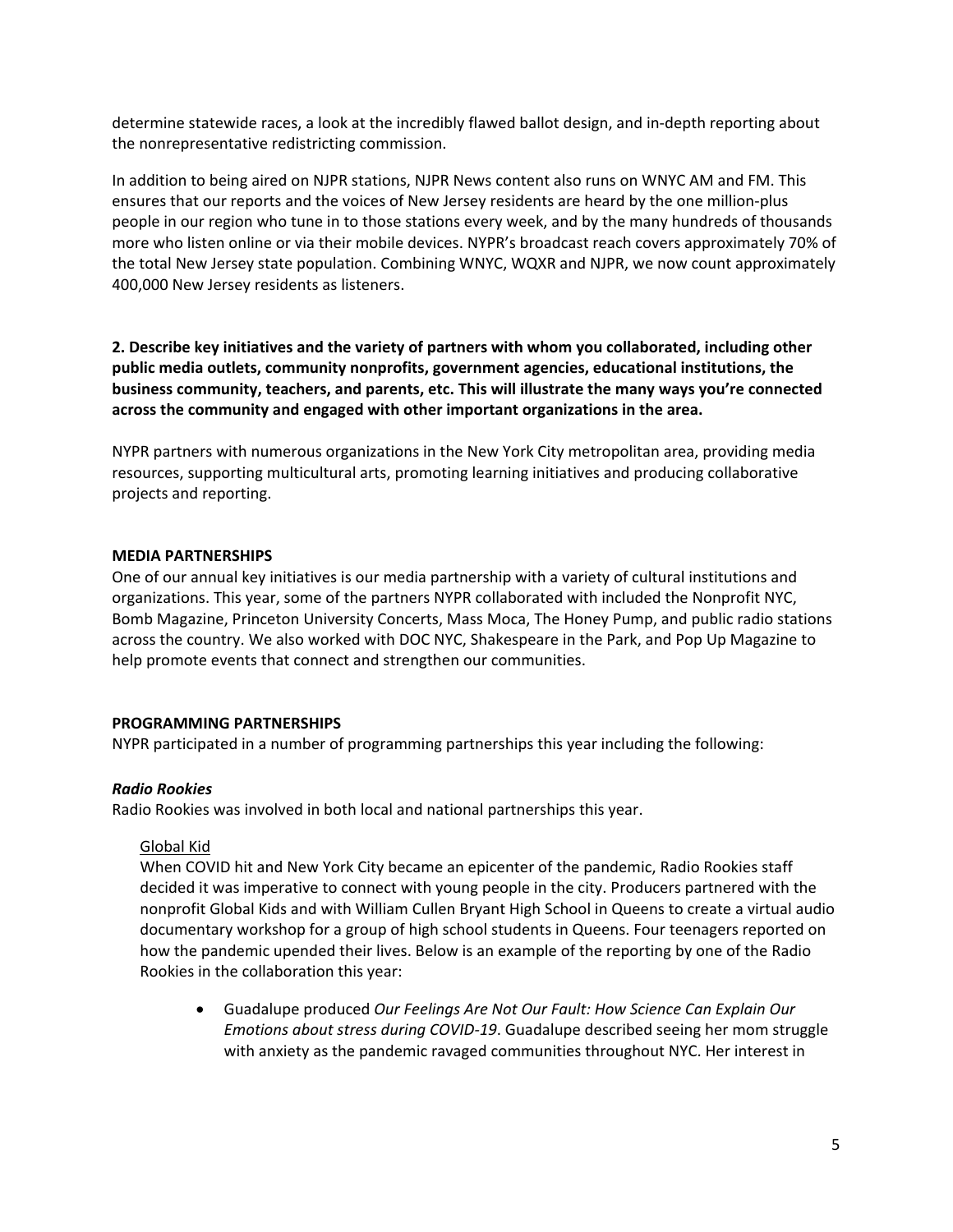determine statewide races, a look at the incredibly flawed ballot design, and in-depth reporting about the nonrepresentative redistricting commission.

In addition to being aired on NJPR stations, NJPR News content also runs on WNYC AM and FM. This ensures that our reports and the voices of New Jersey residents are heard by the one million-plus people in our region who tune in to those stations every week, and by the many hundreds of thousands more who listen online or via their mobile devices. NYPR's broadcast reach covers approximately 70% of the total New Jersey state population. Combining WNYC, WQXR and NJPR, we now count approximately 400,000 New Jersey residents as listeners.

**2. Describe key initiatives and the variety of partners with whom you collaborated, including other public media outlets, community nonprofits, government agencies, educational institutions, the business community, teachers, and parents, etc. This will illustrate the many ways you're connected across the community and engaged with other important organizations in the area.**

NYPR partners with numerous organizations in the New York City metropolitan area, providing media resources, supporting multicultural arts, promoting learning initiatives and producing collaborative projects and reporting.

## **MEDIA PARTNERSHIPS**

One of our annual key initiatives is our media partnership with a variety of cultural institutions and organizations. This year, some of the partners NYPR collaborated with included the Nonprofit NYC, Bomb Magazine, Princeton University Concerts, Mass Moca, The Honey Pump, and public radio stations across the country. We also worked with DOC NYC, Shakespeare in the Park, and Pop Up Magazine to help promote events that connect and strengthen our communities.

## **PROGRAMMING PARTNERSHIPS**

NYPR participated in a number of programming partnerships this year including the following:

## *Radio Rookies*

Radio Rookies was involved in both local and national partnerships this year.

## Global Kid

When COVID hit and New York City became an epicenter of the pandemic, Radio Rookies staff decided it was imperative to connect with young people in the city. Producers partnered with the nonprofit Global Kids and with William Cullen Bryant High School in Queens to create a virtual audio documentary workshop for a group of high school students in Queens. Four teenagers reported on how the pandemic upended their lives. Below is an example of the reporting by one of the Radio Rookies in the collaboration this year:

• Guadalupe produced *Our Feelings Are Not Our Fault: How Science Can Explain Our Emotions about stress during COVID-19*. Guadalupe described seeing her mom struggle with anxiety as the pandemic ravaged communities throughout NYC. Her interest in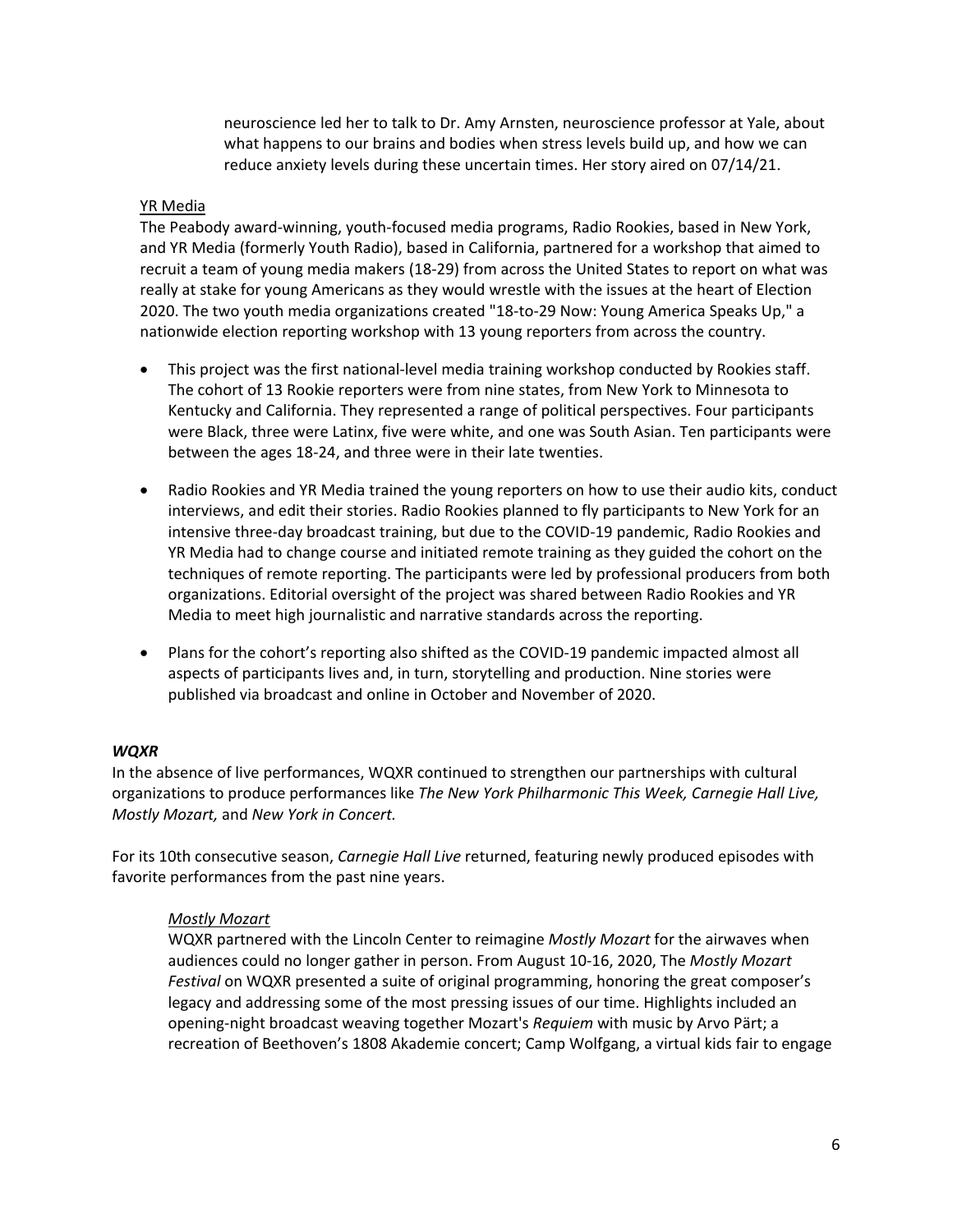neuroscience led her to talk to Dr. Amy Arnsten, neuroscience professor at Yale, about what happens to our brains and bodies when stress levels build up, and how we can reduce anxiety levels during these uncertain times. Her story aired on 07/14/21.

## YR Media

The Peabody award-winning, youth-focused media programs, Radio Rookies, based in New York, and YR Media (formerly Youth Radio), based in California, partnered for a workshop that aimed to recruit a team of young media makers (18-29) from across the United States to report on what was really at stake for young Americans as they would wrestle with the issues at the heart of Election 2020. The two youth media organizations created "18-to-29 Now: Young America Speaks Up," a nationwide election reporting workshop with 13 young reporters from across the country.

- This project was the first national-level media training workshop conducted by Rookies staff. The cohort of 13 Rookie reporters were from nine states, from New York to Minnesota to Kentucky and California. They represented a range of political perspectives. Four participants were Black, three were Latinx, five were white, and one was South Asian. Ten participants were between the ages 18-24, and three were in their late twenties.
- Radio Rookies and YR Media trained the young reporters on how to use their audio kits, conduct interviews, and edit their stories. Radio Rookies planned to fly participants to New York for an intensive three-day broadcast training, but due to the COVID-19 pandemic, Radio Rookies and YR Media had to change course and initiated remote training as they guided the cohort on the techniques of remote reporting. The participants were led by professional producers from both organizations. Editorial oversight of the project was shared between Radio Rookies and YR Media to meet high journalistic and narrative standards across the reporting.
- Plans for the cohort's reporting also shifted as the COVID-19 pandemic impacted almost all aspects of participants lives and, in turn, storytelling and production. Nine stories were published via broadcast and online in October and November of 2020.

### *WQXR*

In the absence of live performances, WQXR continued to strengthen our partnerships with cultural organizations to produce performances like *The New York Philharmonic This Week, Carnegie Hall Live, Mostly Mozart,* and *New York in Concert.* 

For its 10th consecutive season, *Carnegie Hall Live* returned, featuring newly produced episodes with favorite performances from the past nine years.

### *Mostly Mozart*

WQXR partnered with the Lincoln Center to reimagine *Mostly Mozart* for the airwaves when audiences could no longer gather in person. From August 10-16, 2020, The *Mostly Mozart Festival* on WQXR presented a suite of original programming, honoring the great composer's legacy and addressing some of the most pressing issues of our time. Highlights included an opening-night broadcast weaving together Mozart's *Requiem* with music by Arvo Pärt; a recreation of Beethoven's 1808 Akademie concert; Camp Wolfgang, a virtual kids fair to engage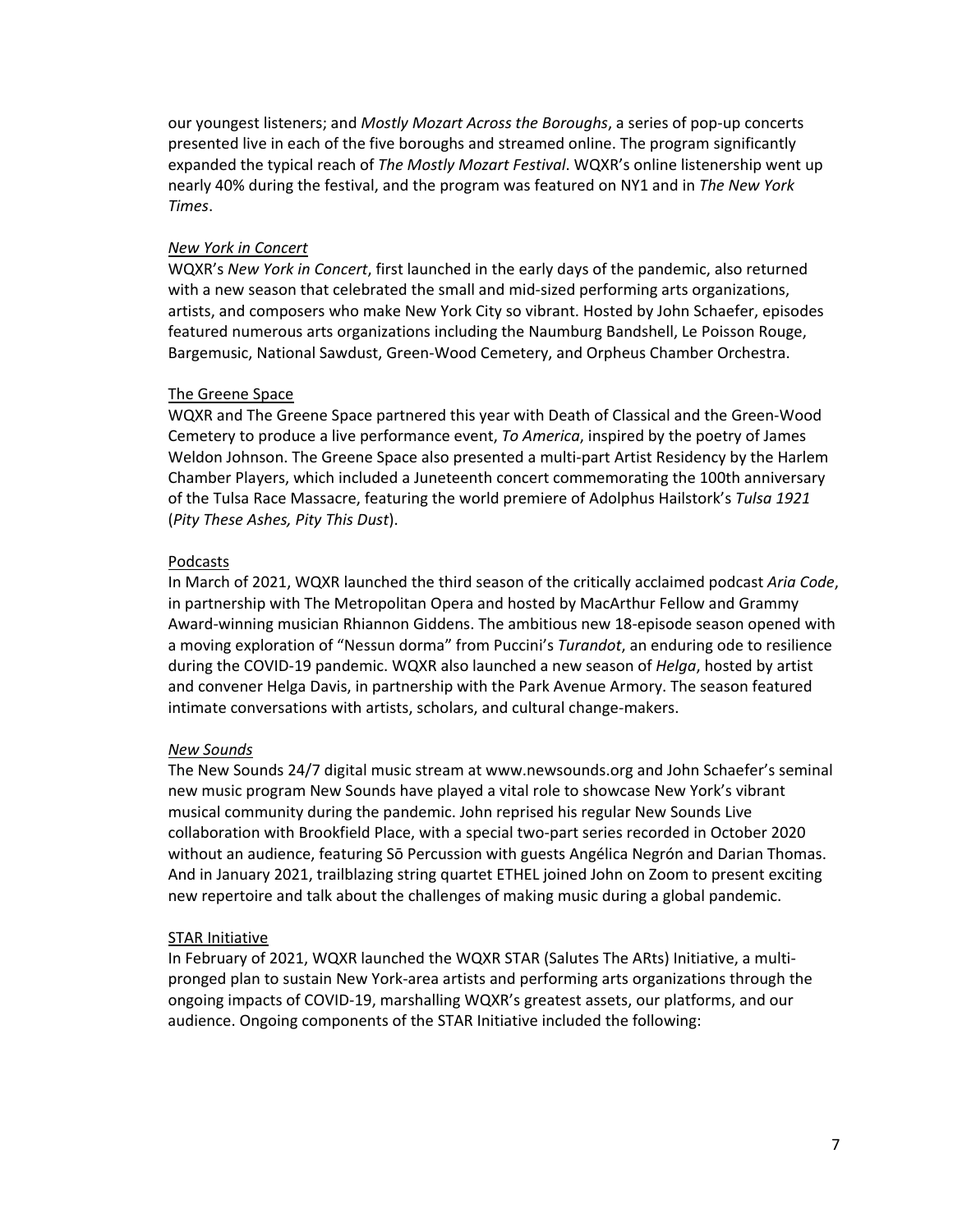our youngest listeners; and *Mostly Mozart Across the Boroughs*, a series of pop-up concerts presented live in each of the five boroughs and streamed online. The program significantly expanded the typical reach of *The Mostly Mozart Festival*. WQXR's online listenership went up nearly 40% during the festival, and the program was featured on NY1 and in *The New York Times*.

### *New York in Concert*

WQXR's *New York in Concert*, first launched in the early days of the pandemic, also returned with a new season that celebrated the small and mid-sized performing arts organizations, artists, and composers who make New York City so vibrant. Hosted by John Schaefer, episodes featured numerous arts organizations including the Naumburg Bandshell, Le Poisson Rouge, Bargemusic, National Sawdust, Green-Wood Cemetery, and Orpheus Chamber Orchestra.

### The Greene Space

WQXR and The Greene Space partnered this year with Death of Classical and the Green-Wood Cemetery to produce a live performance event, *To America*, inspired by the poetry of James Weldon Johnson. The Greene Space also presented a multi-part Artist Residency by the Harlem Chamber Players, which included a Juneteenth concert commemorating the 100th anniversary of the Tulsa Race Massacre, featuring the world premiere of Adolphus Hailstork's *Tulsa 1921* (*Pity These Ashes, Pity This Dust*).

### Podcasts

In March of 2021, WQXR launched the third season of the critically acclaimed podcast *Aria Code*, in partnership with The Metropolitan Opera and hosted by MacArthur Fellow and Grammy Award-winning musician Rhiannon Giddens. The ambitious new 18-episode season opened with a moving exploration of "Nessun dorma" from Puccini's *Turandot*, an enduring ode to resilience during the COVID-19 pandemic. WQXR also launched a new season of *Helga*, hosted by artist and convener Helga Davis, in partnership with the Park Avenue Armory. The season featured intimate conversations with artists, scholars, and cultural change-makers.

### *New Sounds*

The New Sounds 24/7 digital music stream at www.newsounds.org and John Schaefer's seminal new music program New Sounds have played a vital role to showcase New York's vibrant musical community during the pandemic. John reprised his regular New Sounds Live collaboration with Brookfield Place, with a special two-part series recorded in October 2020 without an audience, featuring Sō Percussion with guests Angélica Negrón and Darian Thomas. And in January 2021, trailblazing string quartet ETHEL joined John on Zoom to present exciting new repertoire and talk about the challenges of making music during a global pandemic.

### STAR Initiative

In February of 2021, WQXR launched the WQXR STAR (Salutes The ARts) Initiative, a multipronged plan to sustain New York-area artists and performing arts organizations through the ongoing impacts of COVID-19, marshalling WQXR's greatest assets, our platforms, and our audience. Ongoing components of the STAR Initiative included the following: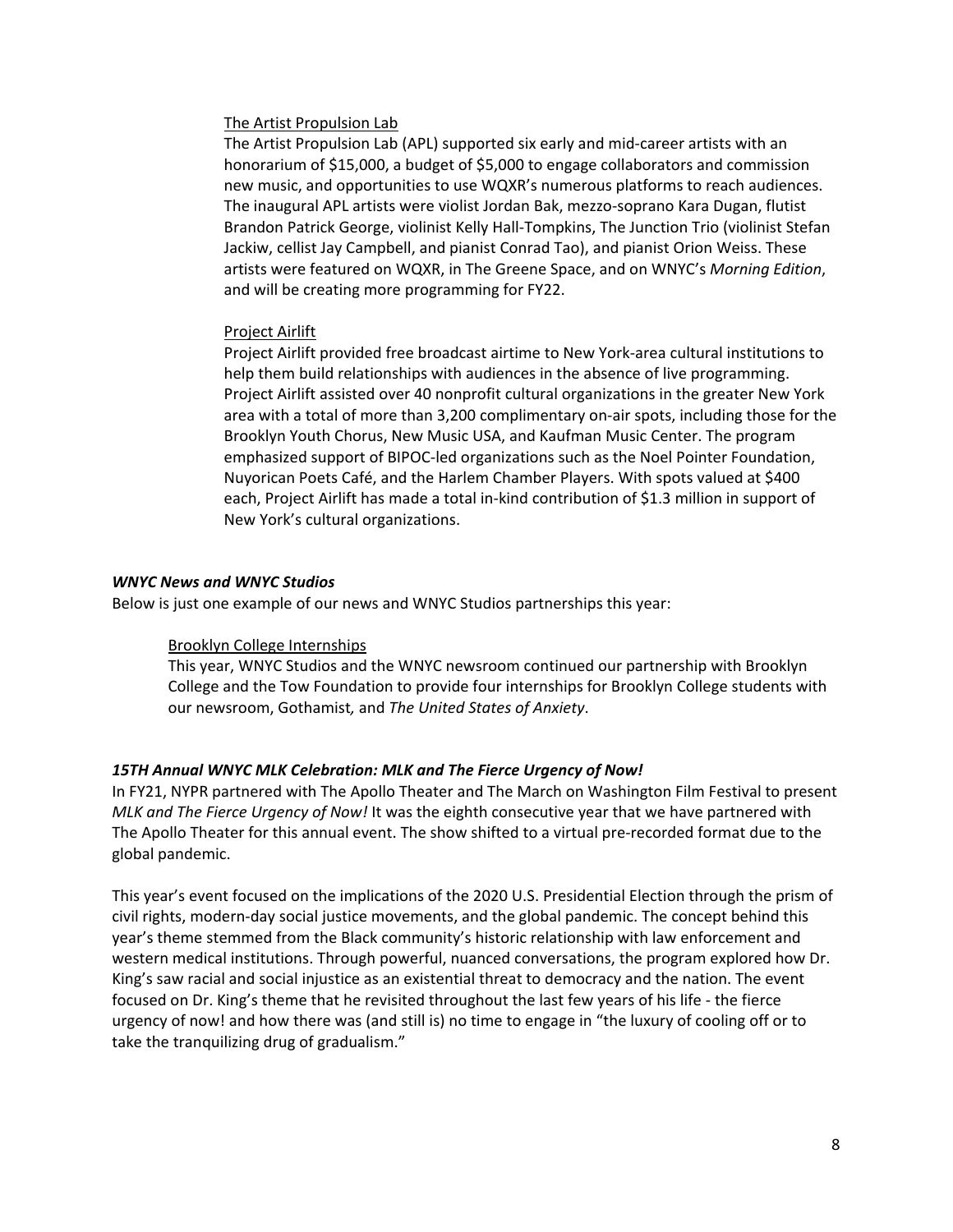## The Artist Propulsion Lab

The Artist Propulsion Lab (APL) supported six early and mid-career artists with an honorarium of \$15,000, a budget of \$5,000 to engage collaborators and commission new music, and opportunities to use WQXR's numerous platforms to reach audiences. The inaugural APL artists were violist Jordan Bak, mezzo-soprano Kara Dugan, flutist Brandon Patrick George, violinist Kelly Hall-Tompkins, The Junction Trio (violinist Stefan Jackiw, cellist Jay Campbell, and pianist Conrad Tao), and pianist Orion Weiss. These artists were featured on WQXR, in The Greene Space, and on WNYC's *Morning Edition*, and will be creating more programming for FY22.

## Project Airlift

Project Airlift provided free broadcast airtime to New York-area cultural institutions to help them build relationships with audiences in the absence of live programming. Project Airlift assisted over 40 nonprofit cultural organizations in the greater New York area with a total of more than 3,200 complimentary on-air spots, including those for the Brooklyn Youth Chorus, New Music USA, and Kaufman Music Center. The program emphasized support of BIPOC-led organizations such as the Noel Pointer Foundation, Nuyorican Poets Café, and the Harlem Chamber Players. With spots valued at \$400 each, Project Airlift has made a total in-kind contribution of \$1.3 million in support of New York's cultural organizations.

## *WNYC News and WNYC Studios*

Below is just one example of our news and WNYC Studios partnerships this year:

## Brooklyn College Internships

This year, WNYC Studios and the WNYC newsroom continued our partnership with Brooklyn College and the Tow Foundation to provide four internships for Brooklyn College students with our newsroom, Gothamist*,* and *The United States of Anxiety*.

## *15TH Annual WNYC MLK Celebration: MLK and The Fierce Urgency of Now!*

In FY21, NYPR partnered with The Apollo Theater and The March on Washington Film Festival to present *MLK and The Fierce Urgency of Now!* It was the eighth consecutive year that we have partnered with The Apollo Theater for this annual event. The show shifted to a virtual pre-recorded format due to the global pandemic.

This year's event focused on the implications of the 2020 U.S. Presidential Election through the prism of civil rights, modern-day social justice movements, and the global pandemic. The concept behind this year's theme stemmed from the Black community's historic relationship with law enforcement and western medical institutions. Through powerful, nuanced conversations, the program explored how Dr. King's saw racial and social injustice as an existential threat to democracy and the nation. The event focused on Dr. King's theme that he revisited throughout the last few years of his life - the fierce urgency of now! and how there was (and still is) no time to engage in "the luxury of cooling off or to take the tranquilizing drug of gradualism."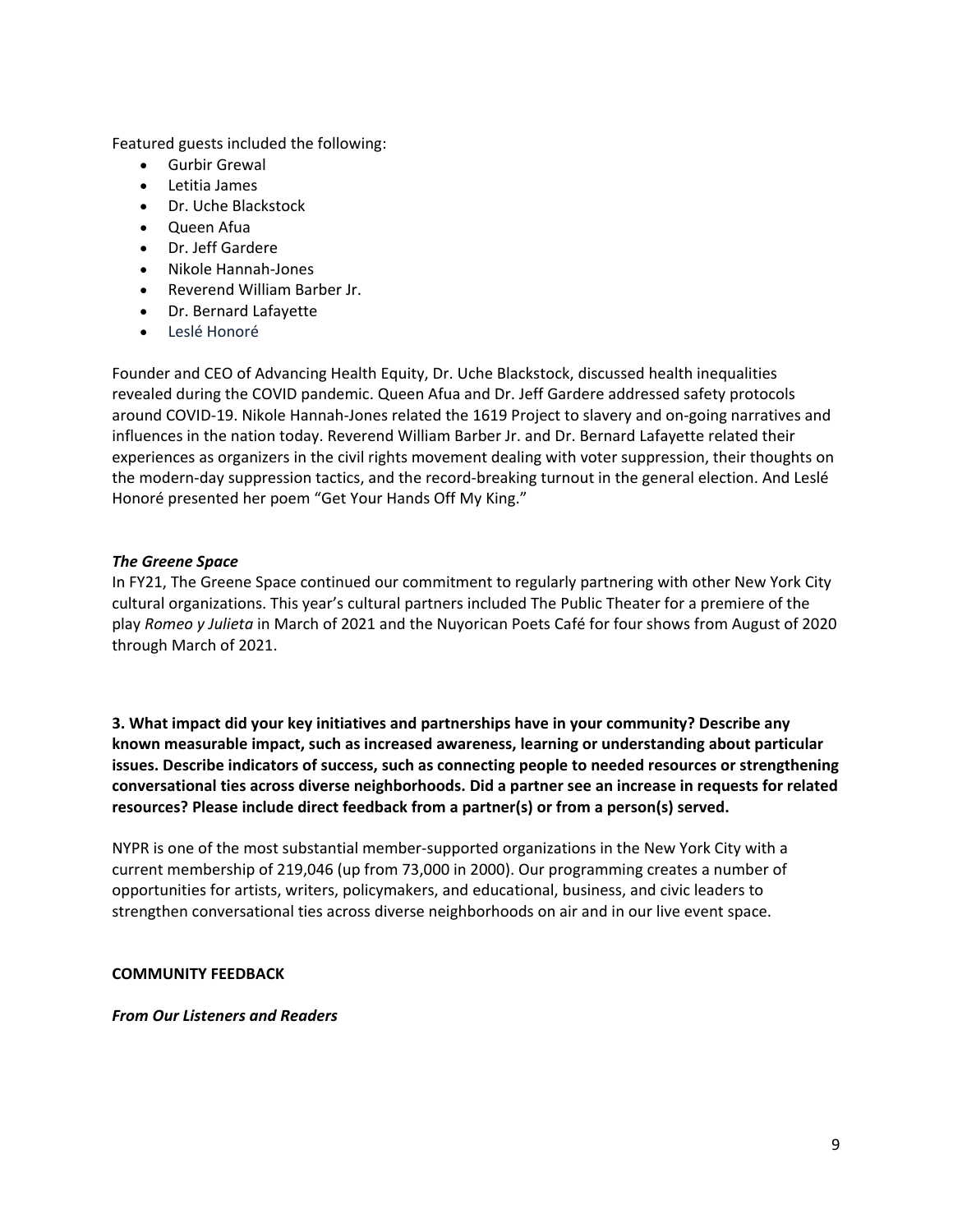Featured guests included the following:

- Gurbir Grewal
- Letitia James
- Dr. Uche Blackstock
- Queen Afua
- Dr. Jeff Gardere
- Nikole Hannah-Jones
- Reverend William Barber Jr.
- Dr. Bernard Lafayette
- Leslé Honoré

Founder and CEO of Advancing Health Equity, Dr. Uche Blackstock, discussed health inequalities revealed during the COVID pandemic. Queen Afua and Dr. Jeff Gardere addressed safety protocols around COVID-19. Nikole Hannah-Jones related the 1619 Project to slavery and on-going narratives and influences in the nation today. Reverend William Barber Jr. and Dr. Bernard Lafayette related their experiences as organizers in the civil rights movement dealing with voter suppression, their thoughts on the modern-day suppression tactics, and the record-breaking turnout in the general election. And Leslé Honoré presented her poem "Get Your Hands Off My King."

## *The Greene Space*

In FY21, The Greene Space continued our commitment to regularly partnering with other New York City cultural organizations. This year's cultural partners included The Public Theater for a premiere of the play *Romeo y Julieta* in March of 2021 and the Nuyorican Poets Café for four shows from August of 2020 through March of 2021.

**3. What impact did your key initiatives and partnerships have in your community? Describe any known measurable impact, such as increased awareness, learning or understanding about particular issues. Describe indicators of success, such as connecting people to needed resources or strengthening conversational ties across diverse neighborhoods. Did a partner see an increase in requests for related resources? Please include direct feedback from a partner(s) or from a person(s) served.**

NYPR is one of the most substantial member-supported organizations in the New York City with a current membership of 219,046 (up from 73,000 in 2000). Our programming creates a number of opportunities for artists, writers, policymakers, and educational, business, and civic leaders to strengthen conversational ties across diverse neighborhoods on air and in our live event space.

## **COMMUNITY FEEDBACK**

*From Our Listeners and Readers*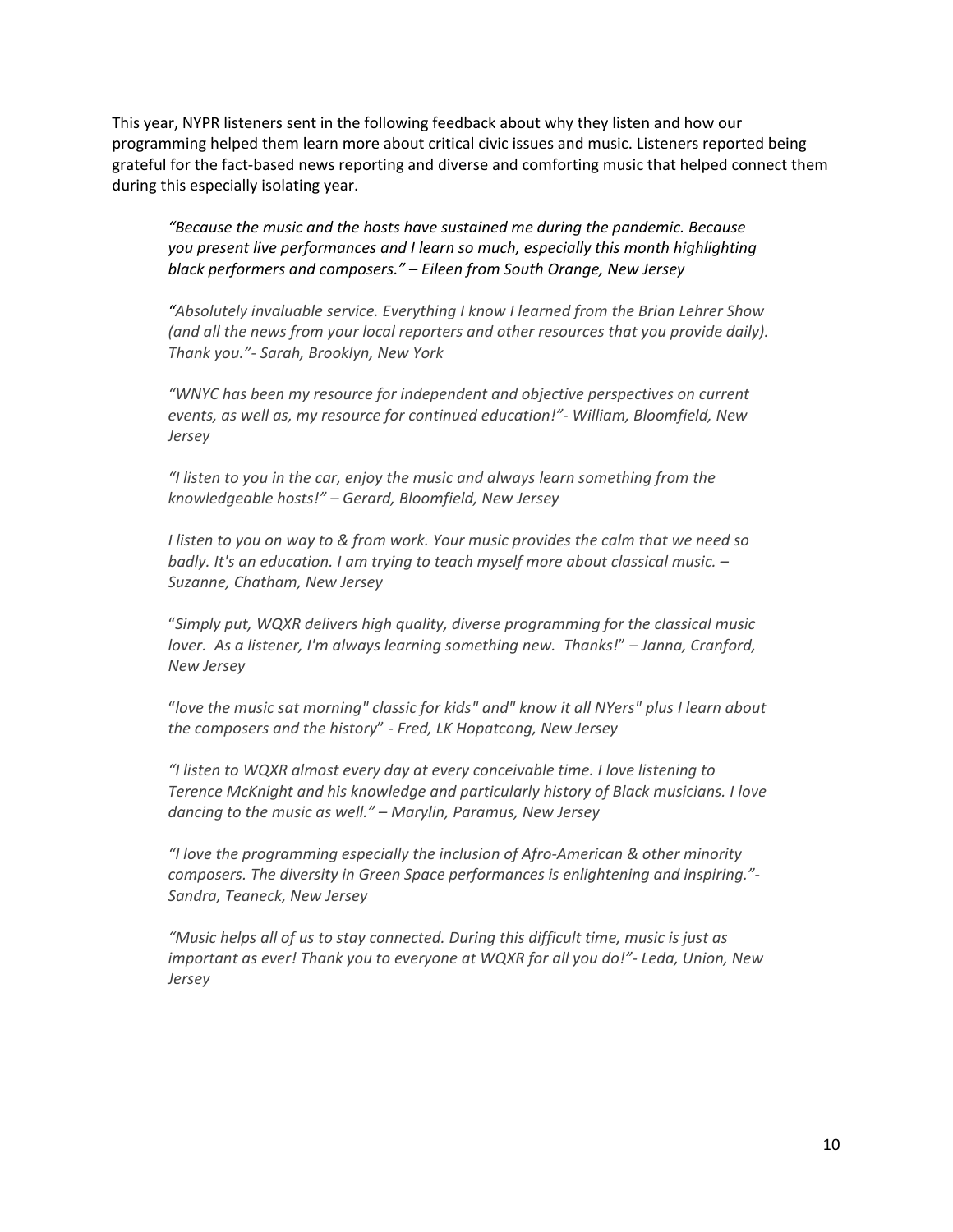This year, NYPR listeners sent in the following feedback about why they listen and how our programming helped them learn more about critical civic issues and music. Listeners reported being grateful for the fact-based news reporting and diverse and comforting music that helped connect them during this especially isolating year.

*"Because the music and the hosts have sustained me during the pandemic. Because you present live performances and I learn so much, especially this month highlighting black performers and composers." – Eileen from South Orange, New Jersey*

*"Absolutely invaluable service. Everything I know I learned from the Brian Lehrer Show (and all the news from your local reporters and other resources that you provide daily). Thank you."- Sarah, Brooklyn, New York*

*"WNYC has been my resource for independent and objective perspectives on current events, as well as, my resource for continued education!"- William, Bloomfield, New Jersey*

*"I listen to you in the car, enjoy the music and always learn something from the knowledgeable hosts!" – Gerard, Bloomfield, New Jersey*

*I listen to you on way to & from work. Your music provides the calm that we need so badly. It's an education. I am trying to teach myself more about classical music. – Suzanne, Chatham, New Jersey*

"*Simply put, WQXR delivers high quality, diverse programming for the classical music lover. As a listener, I'm always learning something new. Thanks!*" *– Janna, Cranford, New Jersey*

"*love the music sat morning" classic for kids" and" know it all NYers" plus I learn about the composers and the history*" *- Fred, LK Hopatcong, New Jersey*

*"I listen to WQXR almost every day at every conceivable time. I love listening to Terence McKnight and his knowledge and particularly history of Black musicians. I love dancing to the music as well." – Marylin, Paramus, New Jersey*

*"I love the programming especially the inclusion of Afro-American & other minority composers. The diversity in Green Space performances is enlightening and inspiring."- Sandra, Teaneck, New Jersey*

*"Music helps all of us to stay connected. During this difficult time, music is just as important as ever! Thank you to everyone at WQXR for all you do!"- Leda, Union, New Jersey*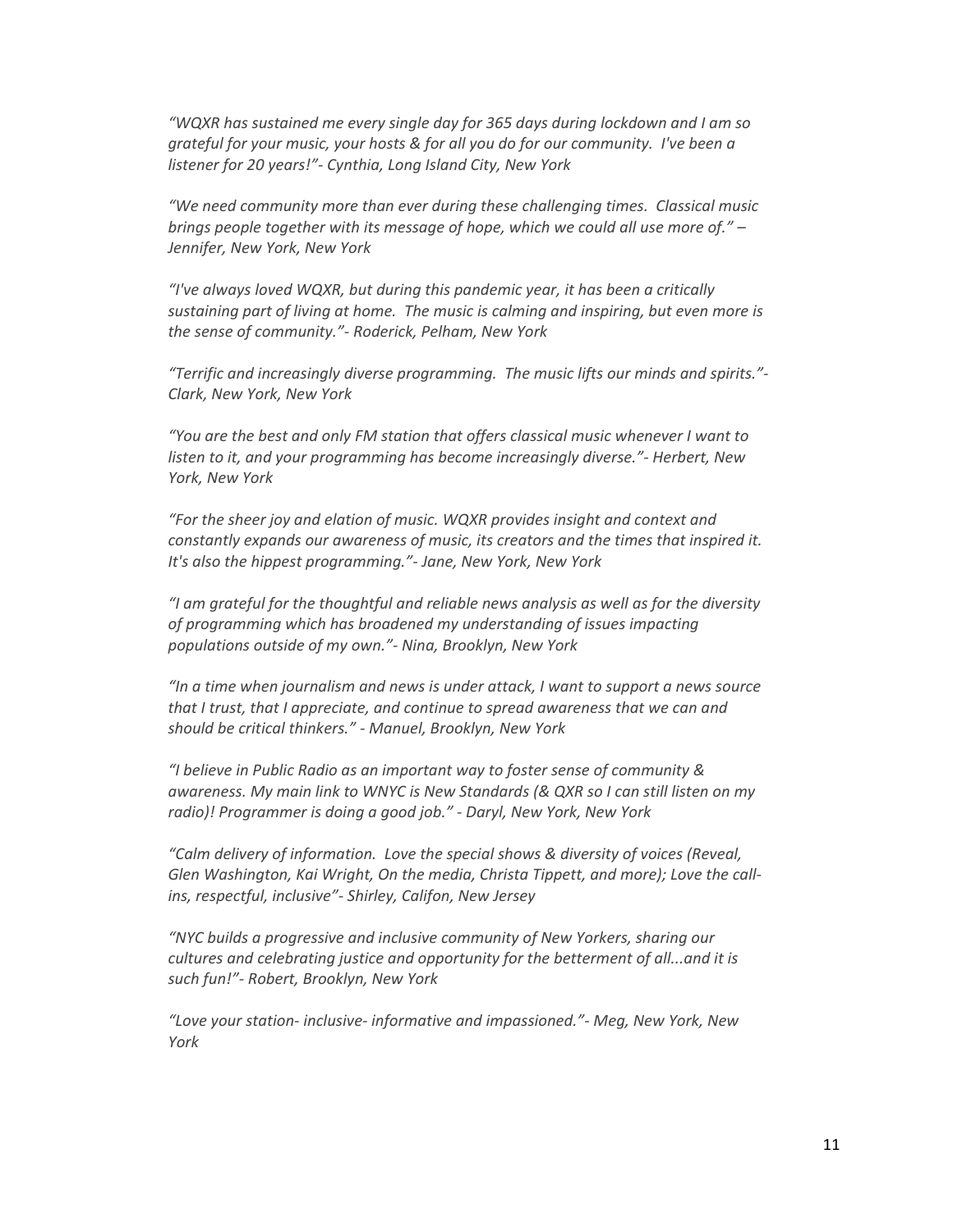*"WQXR has sustained me every single day for 365 days during lockdown and I am so grateful for your music, your hosts & for all you do for our community. I've been a listener for 20 years!"- Cynthia, Long Island City, New York*

*"We need community more than ever during these challenging times. Classical music brings people together with its message of hope, which we could all use more of." – Jennifer, New York, New York*

*"I've always loved WQXR, but during this pandemic year, it has been a critically sustaining part of living at home. The music is calming and inspiring, but even more is the sense of community."- Roderick, Pelham, New York*

*"Terrific and increasingly diverse programming. The music lifts our minds and spirits."- Clark, New York, New York*

*"You are the best and only FM station that offers classical music whenever I want to listen to it, and your programming has become increasingly diverse."- Herbert, New York, New York*

*"For the sheer joy and elation of music. WQXR provides insight and context and constantly expands our awareness of music, its creators and the times that inspired it. It's also the hippest programming."- Jane, New York, New York* 

*"I am grateful for the thoughtful and reliable news analysis as well as for the diversity of programming which has broadened my understanding of issues impacting populations outside of my own."- Nina, Brooklyn, New York*

*"In a time when journalism and news is under attack, I want to support a news source that I trust, that I appreciate, and continue to spread awareness that we can and should be critical thinkers." - Manuel, Brooklyn, New York*

*"I believe in Public Radio as an important way to foster sense of community & awareness. My main link to WNYC is New Standards (& QXR so I can still listen on my radio)! Programmer is doing a good job." - Daryl, New York, New York*

*"Calm delivery of information. Love the special shows & diversity of voices (Reveal, Glen Washington, Kai Wright, On the media, Christa Tippett, and more); Love the callins, respectful, inclusive"- Shirley, Califon, New Jersey*

*"NYC builds a progressive and inclusive community of New Yorkers, sharing our cultures and celebrating justice and opportunity for the betterment of all...and it is such fun!"- Robert, Brooklyn, New York*

*"Love your station- inclusive- informative and impassioned."- Meg, New York, New York*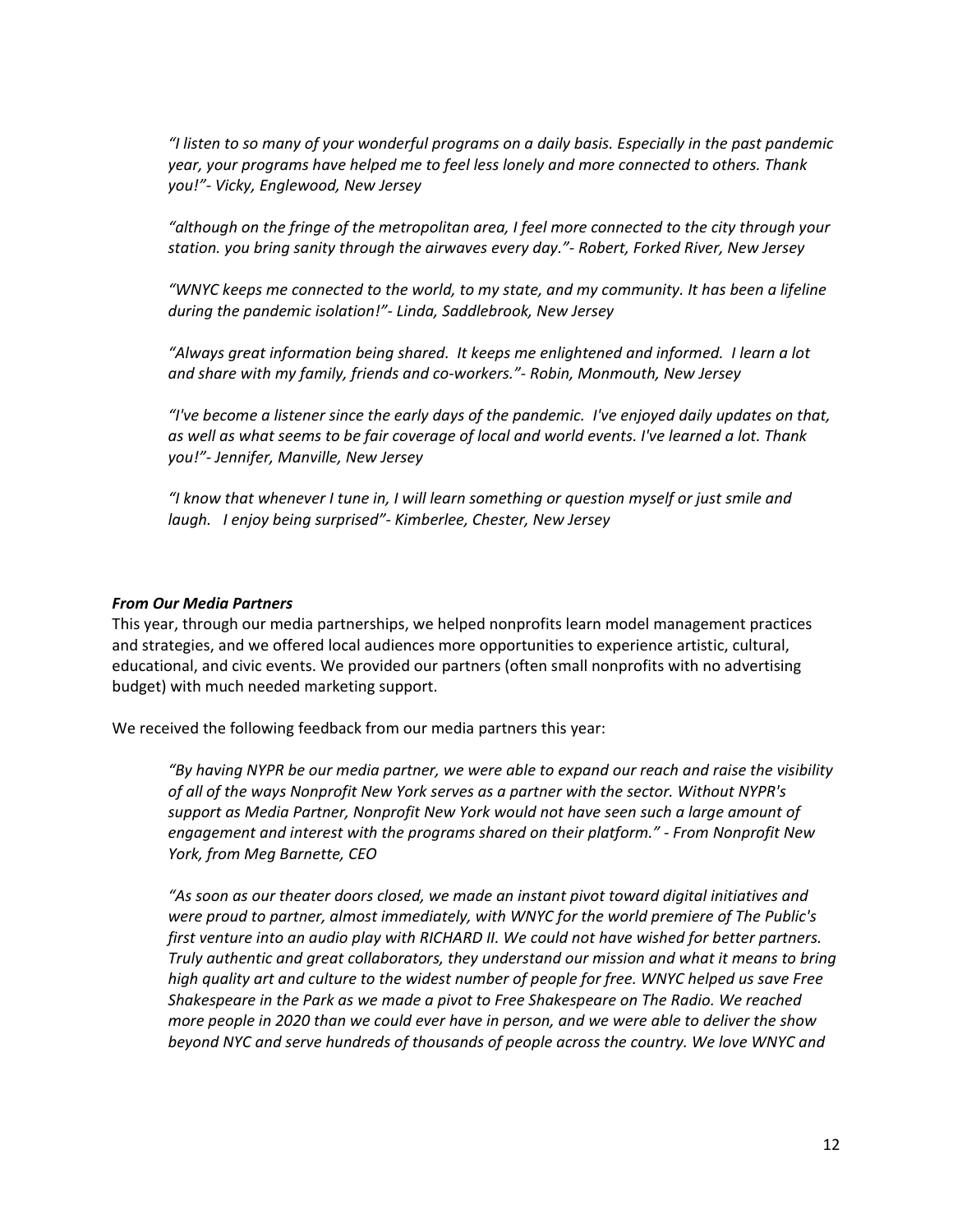*"I listen to so many of your wonderful programs on a daily basis. Especially in the past pandemic year, your programs have helped me to feel less lonely and more connected to others. Thank you!"- Vicky, Englewood, New Jersey*

*"although on the fringe of the metropolitan area, I feel more connected to the city through your station. you bring sanity through the airwaves every day."- Robert, Forked River, New Jersey*

*"WNYC keeps me connected to the world, to my state, and my community. It has been a lifeline during the pandemic isolation!"- Linda, Saddlebrook, New Jersey*

*"Always great information being shared. It keeps me enlightened and informed. I learn a lot and share with my family, friends and co-workers."- Robin, Monmouth, New Jersey*

*"I've become a listener since the early days of the pandemic. I've enjoyed daily updates on that, as well as what seems to be fair coverage of local and world events. I've learned a lot. Thank you!"- Jennifer, Manville, New Jersey*

*"I know that whenever I tune in, I will learn something or question myself or just smile and laugh. I enjoy being surprised"- Kimberlee, Chester, New Jersey*

### *From Our Media Partners*

This year, through our media partnerships, we helped nonprofits learn model management practices and strategies, and we offered local audiences more opportunities to experience artistic, cultural, educational, and civic events. We provided our partners (often small nonprofits with no advertising budget) with much needed marketing support.

We received the following feedback from our media partners this year:

*"By having NYPR be our media partner, we were able to expand our reach and raise the visibility of all of the ways Nonprofit New York serves as a partner with the sector. Without NYPR's support as Media Partner, Nonprofit New York would not have seen such a large amount of engagement and interest with the programs shared on their platform." - From Nonprofit New York, from Meg Barnette, CEO*

*"As soon as our theater doors closed, we made an instant pivot toward digital initiatives and were proud to partner, almost immediately, with WNYC for the world premiere of The Public's first venture into an audio play with RICHARD II. We could not have wished for better partners. Truly authentic and great collaborators, they understand our mission and what it means to bring high quality art and culture to the widest number of people for free. WNYC helped us save Free Shakespeare in the Park as we made a pivot to Free Shakespeare on The Radio. We reached more people in 2020 than we could ever have in person, and we were able to deliver the show beyond NYC and serve hundreds of thousands of people across the country. We love WNYC and*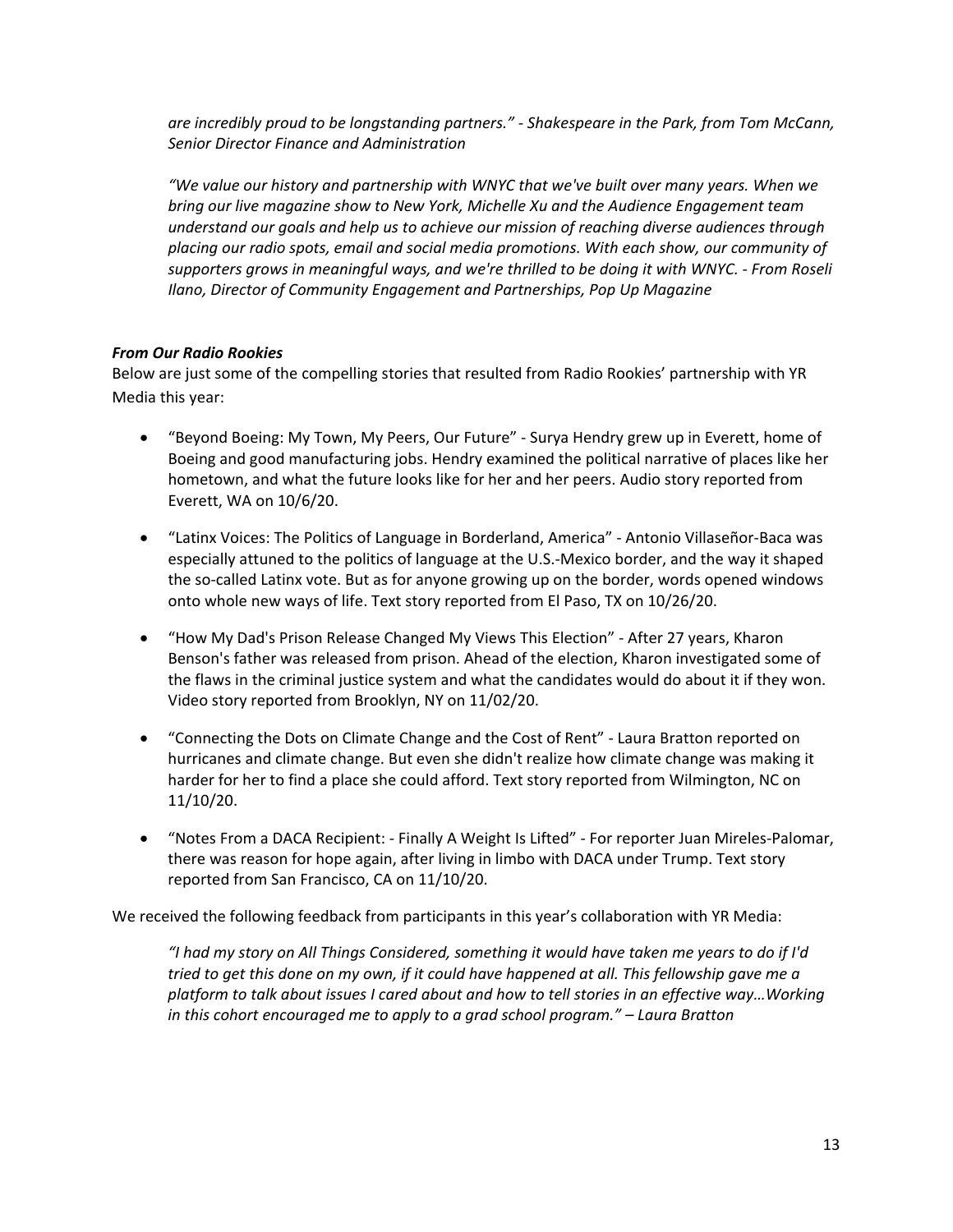*are incredibly proud to be longstanding partners." - Shakespeare in the Park, from Tom McCann, Senior Director Finance and Administration*

*"We value our history and partnership with WNYC that we've built over many years. When we bring our live magazine show to New York, Michelle Xu and the Audience Engagement team understand our goals and help us to achieve our mission of reaching diverse audiences through placing our radio spots, email and social media promotions. With each show, our community of supporters grows in meaningful ways, and we're thrilled to be doing it with WNYC. - From Roseli Ilano, Director of Community Engagement and Partnerships, Pop Up Magazine*

## *From Our Radio Rookies*

Below are just some of the compelling stories that resulted from Radio Rookies' partnership with YR Media this year:

- "Beyond Boeing: My Town, My Peers, Our Future" Surya Hendry grew up in Everett, home of Boeing and good manufacturing jobs. Hendry examined the political narrative of places like her hometown, and what the future looks like for her and her peers. Audio story reported from Everett, WA on 10/6/20.
- "Latinx Voices: The Politics of Language in Borderland, America" Antonio Villaseñor-Baca was especially attuned to the politics of language at the U.S.-Mexico border, and the way it shaped the so-called Latinx vote. But as for anyone growing up on the border, words opened windows onto whole new ways of life. Text story reported from El Paso, TX on 10/26/20.
- "How My Dad's Prison Release Changed My Views This Election" After 27 years, Kharon Benson's father was released from prison. Ahead of the election, Kharon investigated some of the flaws in the criminal justice system and what the candidates would do about it if they won. Video story reported from Brooklyn, NY on 11/02/20.
- "Connecting the Dots on Climate Change and the Cost of Rent" Laura Bratton reported on hurricanes and climate change. But even she didn't realize how climate change was making it harder for her to find a place she could afford. Text story reported from Wilmington, NC on 11/10/20.
- "Notes From a DACA Recipient: Finally A Weight Is Lifted" For reporter Juan Mireles-Palomar, there was reason for hope again, after living in limbo with DACA under Trump. Text story reported from San Francisco, CA on 11/10/20.

We received the following feedback from participants in this year's collaboration with YR Media:

*"I had my story on All Things Considered, something it would have taken me years to do if I'd tried to get this done on my own, if it could have happened at all. This fellowship gave me a platform to talk about issues I cared about and how to tell stories in an effective way…Working in this cohort encouraged me to apply to a grad school program." – Laura Bratton*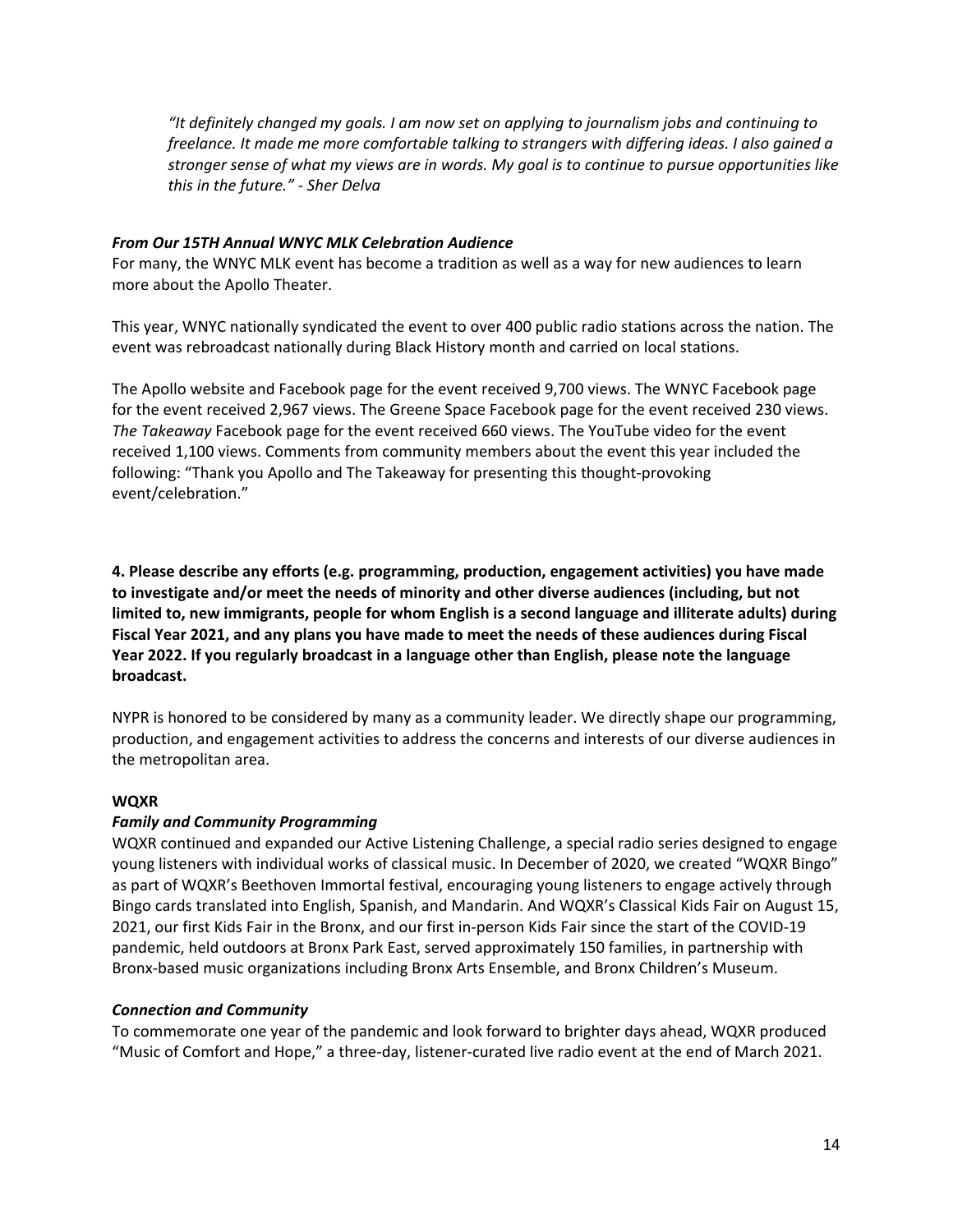*"It definitely changed my goals. I am now set on applying to journalism jobs and continuing to freelance. It made me more comfortable talking to strangers with differing ideas. I also gained a stronger sense of what my views are in words. My goal is to continue to pursue opportunities like this in the future." - Sher Delva*

## *From Our 15TH Annual WNYC MLK Celebration Audience*

For many, the WNYC MLK event has become a tradition as well as a way for new audiences to learn more about the Apollo Theater.

This year, WNYC nationally syndicated the event to over 400 public radio stations across the nation. The event was rebroadcast nationally during Black History month and carried on local stations.

The Apollo website and Facebook page for the event received 9,700 views. The WNYC Facebook page for the event received 2,967 views. The Greene Space Facebook page for the event received 230 views. *The Takeaway* Facebook page for the event received 660 views. The YouTube video for the event received 1,100 views. Comments from community members about the event this year included the following: "Thank you Apollo and The Takeaway for presenting this thought-provoking event/celebration."

**4. Please describe any efforts (e.g. programming, production, engagement activities) you have made to investigate and/or meet the needs of minority and other diverse audiences (including, but not limited to, new immigrants, people for whom English is a second language and illiterate adults) during Fiscal Year 2021, and any plans you have made to meet the needs of these audiences during Fiscal Year 2022. If you regularly broadcast in a language other than English, please note the language broadcast.**

NYPR is honored to be considered by many as a community leader. We directly shape our programming, production, and engagement activities to address the concerns and interests of our diverse audiences in the metropolitan area.

## **WQXR**

# *Family and Community Programming*

WQXR continued and expanded our Active Listening Challenge, a special radio series designed to engage young listeners with individual works of classical music. In December of 2020, we created "WQXR Bingo" as part of WQXR's Beethoven Immortal festival, encouraging young listeners to engage actively through Bingo cards translated into English, Spanish, and Mandarin. And WQXR's Classical Kids Fair on August 15, 2021, our first Kids Fair in the Bronx, and our first in-person Kids Fair since the start of the COVID-19 pandemic, held outdoors at Bronx Park East, served approximately 150 families, in partnership with Bronx-based music organizations including Bronx Arts Ensemble, and Bronx Children's Museum.

## *Connection and Community*

To commemorate one year of the pandemic and look forward to brighter days ahead, WQXR produced "Music of Comfort and Hope," a three-day, listener-curated live radio event at the end of March 2021.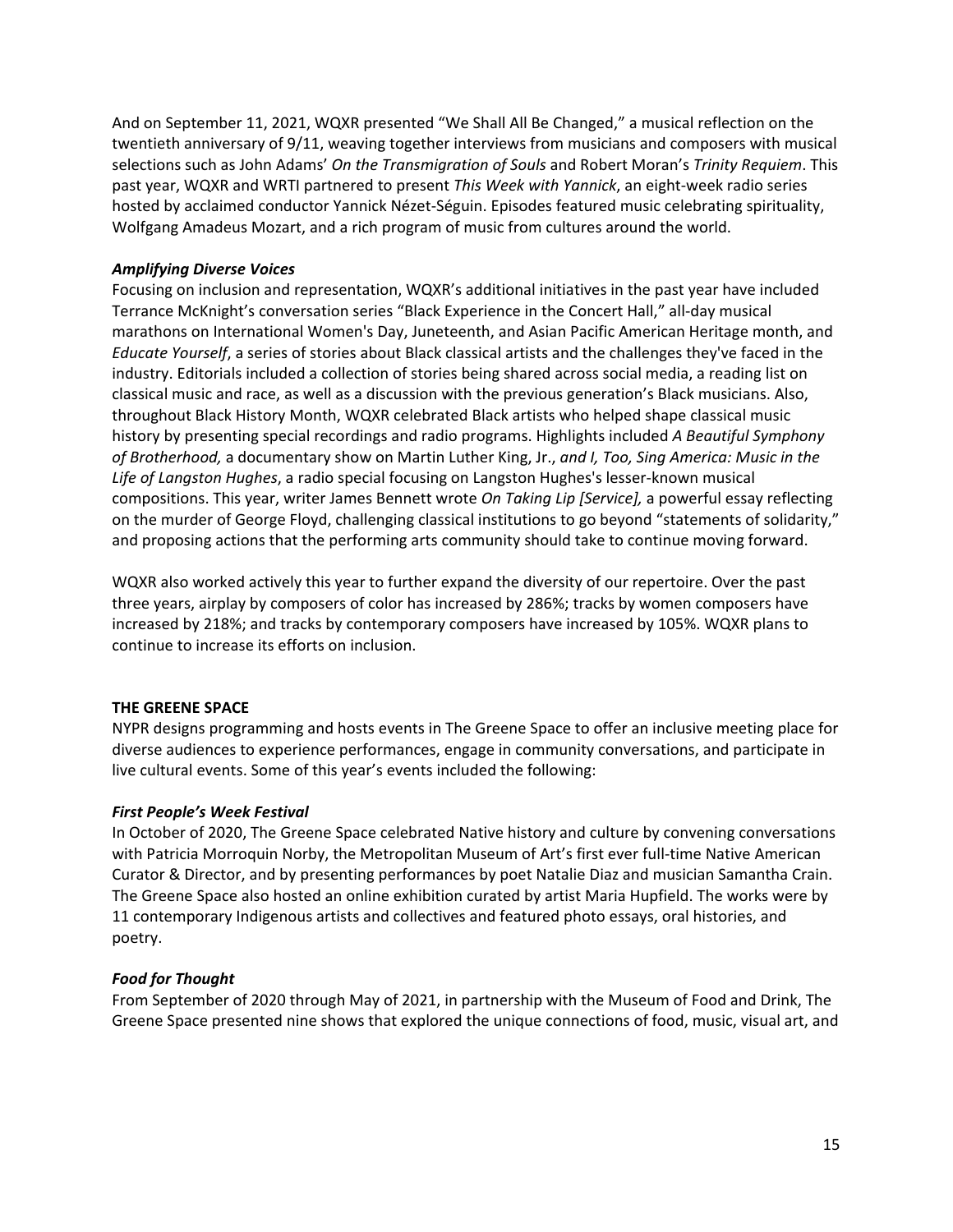And on September 11, 2021, WQXR presented "We Shall All Be Changed," a musical reflection on the twentieth anniversary of 9/11, weaving together interviews from musicians and composers with musical selections such as John Adams' *On the Transmigration of Souls* and Robert Moran's *Trinity Requiem*. This past year, WQXR and WRTI partnered to present *This Week with Yannick*, an eight-week radio series hosted by acclaimed conductor Yannick Nézet-Séguin. Episodes featured music celebrating spirituality, Wolfgang Amadeus Mozart, and a rich program of music from cultures around the world.

# *Amplifying Diverse Voices*

Focusing on inclusion and representation, WQXR's additional initiatives in the past year have included Terrance McKnight's conversation series "Black Experience in the Concert Hall," all-day musical marathons on International Women's Day, Juneteenth, and Asian Pacific American Heritage month, and *Educate Yourself*, a series of stories about Black classical artists and the challenges they've faced in the industry. Editorials included a collection of stories being shared across social media, a reading list on classical music and race, as well as a discussion with the previous generation's Black musicians. Also, throughout Black History Month, WQXR celebrated Black artists who helped shape classical music history by presenting special recordings and radio programs. Highlights included *A Beautiful Symphony of Brotherhood,* a documentary show on Martin Luther King, Jr., *and I, Too, Sing America: Music in the Life of Langston Hughes*, a radio special focusing on Langston Hughes's lesser-known musical compositions. This year, writer James Bennett wrote *On Taking Lip [Service],* a powerful essay reflecting on the murder of George Floyd, challenging classical institutions to go beyond "statements of solidarity," and proposing actions that the performing arts community should take to continue moving forward.

WQXR also worked actively this year to further expand the diversity of our repertoire. Over the past three years, airplay by composers of color has increased by 286%; tracks by women composers have increased by 218%; and tracks by contemporary composers have increased by 105%. WQXR plans to continue to increase its efforts on inclusion.

## **THE GREENE SPACE**

NYPR designs programming and hosts events in The Greene Space to offer an inclusive meeting place for diverse audiences to experience performances, engage in community conversations, and participate in live cultural events. Some of this year's events included the following:

## *First People's Week Festival*

In October of 2020, The Greene Space celebrated Native history and culture by convening conversations with Patricia Morroquin Norby, the Metropolitan Museum of Art's first ever full-time Native American Curator & Director, and by presenting performances by poet Natalie Diaz and musician Samantha Crain. The Greene Space also hosted an online exhibition curated by artist Maria Hupfield. The works were by 11 contemporary Indigenous artists and collectives and featured photo essays, oral histories, and poetry.

## *Food for Thought*

From September of 2020 through May of 2021, in partnership with the Museum of Food and Drink, The Greene Space presented nine shows that explored the unique connections of food, music, visual art, and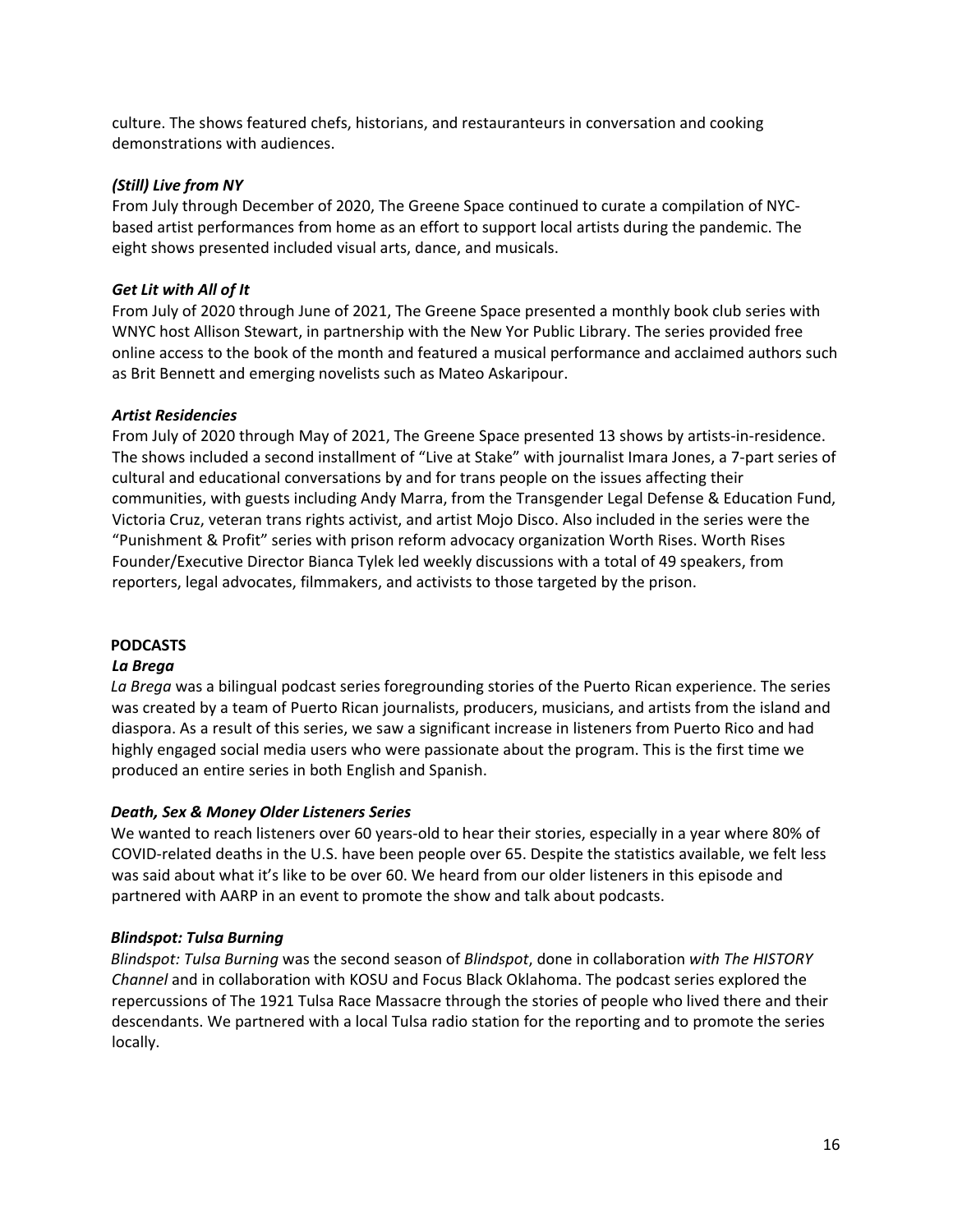culture. The shows featured chefs, historians, and restauranteurs in conversation and cooking demonstrations with audiences.

# *(Still) Live from NY*

From July through December of 2020, The Greene Space continued to curate a compilation of NYCbased artist performances from home as an effort to support local artists during the pandemic. The eight shows presented included visual arts, dance, and musicals.

# *Get Lit with All of It*

From July of 2020 through June of 2021, The Greene Space presented a monthly book club series with WNYC host Allison Stewart, in partnership with the New Yor Public Library. The series provided free online access to the book of the month and featured a musical performance and acclaimed authors such as Brit Bennett and emerging novelists such as Mateo Askaripour.

# *Artist Residencies*

From July of 2020 through May of 2021, The Greene Space presented 13 shows by artists-in-residence. The shows included a second installment of "Live at Stake" with journalist Imara Jones, a 7-part series of cultural and educational conversations by and for trans people on the issues affecting their communities, with guests including Andy Marra, from the Transgender Legal Defense & Education Fund, Victoria Cruz, veteran trans rights activist, and artist Mojo Disco. Also included in the series were the "Punishment & Profit" series with prison reform advocacy organization Worth Rises. Worth Rises Founder/Executive Director Bianca Tylek led weekly discussions with a total of 49 speakers, from reporters, legal advocates, filmmakers, and activists to those targeted by the prison.

# **PODCASTS**

## *La Brega*

*La Brega* was a bilingual podcast series foregrounding stories of the Puerto Rican experience. The series was created by a team of Puerto Rican journalists, producers, musicians, and artists from the island and diaspora. As a result of this series, we saw a significant increase in listeners from Puerto Rico and had highly engaged social media users who were passionate about the program. This is the first time we produced an entire series in both English and Spanish.

## *Death, Sex & Money Older Listeners Series*

We wanted to reach listeners over 60 years-old to hear their stories, especially in a year where 80% of COVID-related deaths in the U.S. have been people over 65. Despite the statistics available, we felt less was said about what it's like to be over 60. We heard from our older listeners in this episode and partnered with AARP in an event to promote the show and talk about podcasts.

## *Blindspot: Tulsa Burning*

*Blindspot: Tulsa Burning* was the second season of *Blindspot*, done in collaboration *with The HISTORY Channel* and in collaboration with KOSU and Focus Black Oklahoma. The podcast series explored the repercussions of The 1921 Tulsa Race Massacre through the stories of people who lived there and their descendants. We partnered with a local Tulsa radio station for the reporting and to promote the series locally.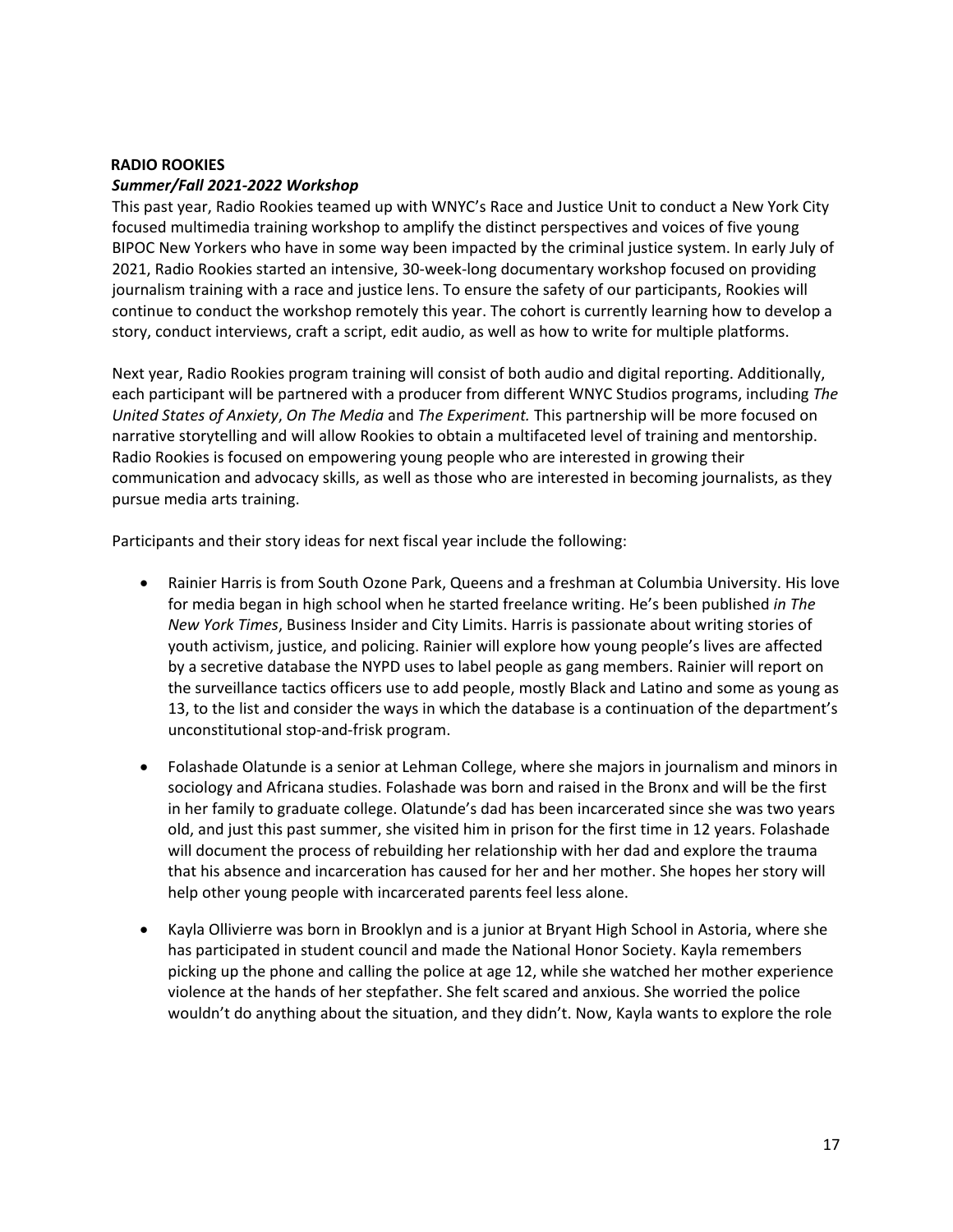## **RADIO ROOKIES** *Summer/Fall 2021-2022 Workshop*

This past year, Radio Rookies teamed up with WNYC's Race and Justice Unit to conduct a New York City focused multimedia training workshop to amplify the distinct perspectives and voices of five young BIPOC New Yorkers who have in some way been impacted by the criminal justice system. In early July of 2021, Radio Rookies started an intensive, 30-week-long documentary workshop focused on providing journalism training with a race and justice lens. To ensure the safety of our participants, Rookies will continue to conduct the workshop remotely this year. The cohort is currently learning how to develop a story, conduct interviews, craft a script, edit audio, as well as how to write for multiple platforms.

Next year, Radio Rookies program training will consist of both audio and digital reporting. Additionally, each participant will be partnered with a producer from different WNYC Studios programs, including *The United States of Anxiety*, *On The Media* and *The Experiment.* This partnership will be more focused on narrative storytelling and will allow Rookies to obtain a multifaceted level of training and mentorship. Radio Rookies is focused on empowering young people who are interested in growing their communication and advocacy skills, as well as those who are interested in becoming journalists, as they pursue media arts training.

Participants and their story ideas for next fiscal year include the following:

- Rainier Harris is from South Ozone Park, Queens and a freshman at Columbia University. His love for media began in high school when he started freelance writing. He's been published *in The New York Times*, Business Insider and City Limits. Harris is passionate about writing stories of youth activism, justice, and policing. Rainier will explore how young people's lives are affected by a secretive database the NYPD uses to label people as gang members. Rainier will report on the surveillance tactics officers use to add people, mostly Black and Latino and some as young as 13, to the list and consider the ways in which the database is a continuation of the department's unconstitutional stop-and-frisk program.
- Folashade Olatunde is a senior at Lehman College, where she majors in journalism and minors in sociology and Africana studies. Folashade was born and raised in the Bronx and will be the first in her family to graduate college. Olatunde's dad has been incarcerated since she was two years old, and just this past summer, she visited him in prison for the first time in 12 years. Folashade will document the process of rebuilding her relationship with her dad and explore the trauma that his absence and incarceration has caused for her and her mother. She hopes her story will help other young people with incarcerated parents feel less alone.
- Kayla Ollivierre was born in Brooklyn and is a junior at Bryant High School in Astoria, where she has participated in student council and made the National Honor Society. Kayla remembers picking up the phone and calling the police at age 12, while she watched her mother experience violence at the hands of her stepfather. She felt scared and anxious. She worried the police wouldn't do anything about the situation, and they didn't. Now, Kayla wants to explore the role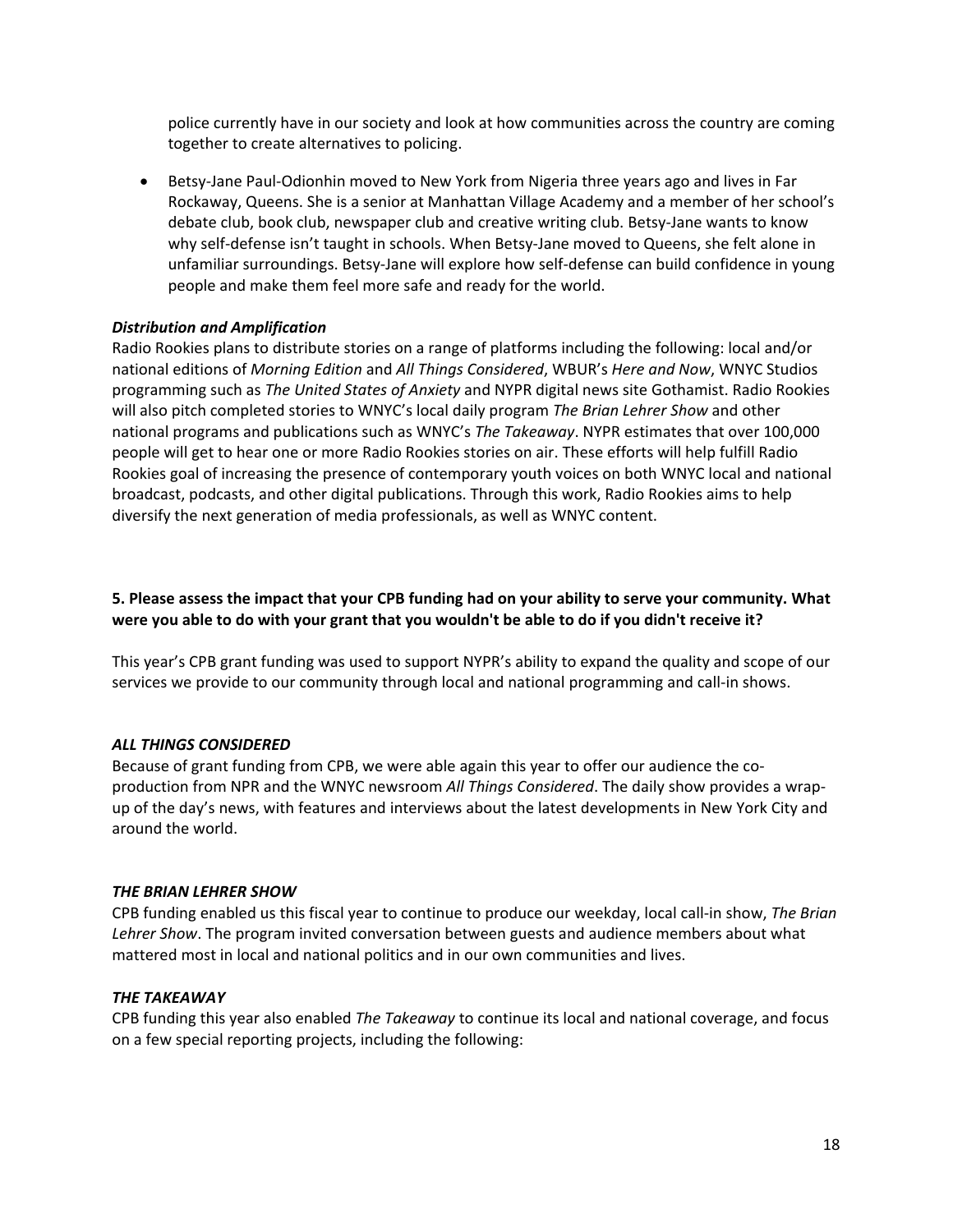police currently have in our society and look at how communities across the country are coming together to create alternatives to policing.

• Betsy-Jane Paul-Odionhin moved to New York from Nigeria three years ago and lives in Far Rockaway, Queens. She is a senior at Manhattan Village Academy and a member of her school's debate club, book club, newspaper club and creative writing club. Betsy-Jane wants to know why self-defense isn't taught in schools. When Betsy-Jane moved to Queens, she felt alone in unfamiliar surroundings. Betsy-Jane will explore how self-defense can build confidence in young people and make them feel more safe and ready for the world.

# *Distribution and Amplification*

Radio Rookies plans to distribute stories on a range of platforms including the following: local and/or national editions of *Morning Edition* and *All Things Considered*, WBUR's *Here and Now*, WNYC Studios programming such as *The United States of Anxiety* and NYPR digital news site Gothamist. Radio Rookies will also pitch completed stories to WNYC's local daily program *The Brian Lehrer Show* and other national programs and publications such as WNYC's *The Takeaway*. NYPR estimates that over 100,000 people will get to hear one or more Radio Rookies stories on air. These efforts will help fulfill Radio Rookies goal of increasing the presence of contemporary youth voices on both WNYC local and national broadcast, podcasts, and other digital publications. Through this work, Radio Rookies aims to help diversify the next generation of media professionals, as well as WNYC content.

# **5. Please assess the impact that your CPB funding had on your ability to serve your community. What were you able to do with your grant that you wouldn't be able to do if you didn't receive it?**

This year's CPB grant funding was used to support NYPR's ability to expand the quality and scope of our services we provide to our community through local and national programming and call-in shows.

## *ALL THINGS CONSIDERED*

Because of grant funding from CPB, we were able again this year to offer our audience the coproduction from NPR and the WNYC newsroom *All Things Considered*. The daily show provides a wrapup of the day's news, with features and interviews about the latest developments in New York City and around the world.

## *THE BRIAN LEHRER SHOW*

CPB funding enabled us this fiscal year to continue to produce our weekday, local call-in show, *The Brian Lehrer Show*. The program invited conversation between guests and audience members about what mattered most in local and national politics and in our own communities and lives.

## *THE TAKEAWAY*

CPB funding this year also enabled *The Takeaway* to continue its local and national coverage, and focus on a few special reporting projects, including the following: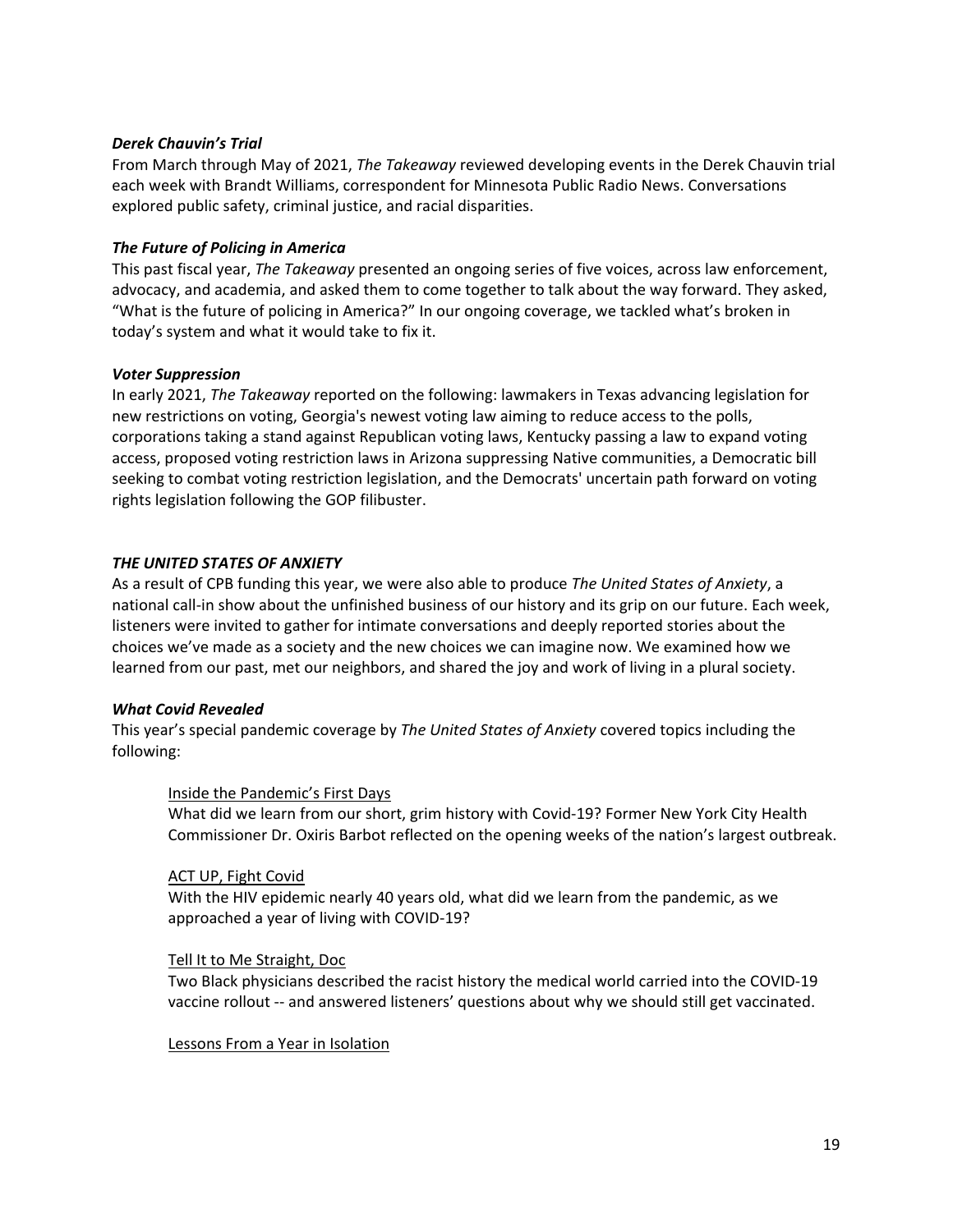## *Derek Chauvin's Trial*

From March through May of 2021, *The Takeaway* reviewed developing events in the Derek Chauvin trial each week with Brandt Williams, correspondent for Minnesota Public Radio News. Conversations explored public safety, criminal justice, and racial disparities.

## *The Future of Policing in America*

This past fiscal year, *The Takeaway* presented an ongoing series of five voices, across law enforcement, advocacy, and academia, and asked them to come together to talk about the way forward. They asked, "What is the future of policing in America?" In our ongoing coverage, we tackled what's broken in today's system and what it would take to fix it.

## *Voter Suppression*

In early 2021, *The Takeaway* reported on the following: lawmakers in Texas advancing legislation for new restrictions on voting, Georgia's newest voting law aiming to reduce access to the polls, corporations taking a stand against Republican voting laws, Kentucky passing a law to expand voting access, proposed voting restriction laws in Arizona suppressing Native communities, a Democratic bill seeking to combat voting restriction legislation, and the Democrats' uncertain path forward on voting rights legislation following the GOP filibuster.

## *THE UNITED STATES OF ANXIETY*

As a result of CPB funding this year, we were also able to produce *The United States of Anxiety*, a national call-in show about the unfinished business of our history and its grip on our future. Each week, listeners were invited to gather for intimate conversations and deeply reported stories about the choices we've made as a society and the new choices we can imagine now. We examined how we learned from our past, met our neighbors, and shared the joy and work of living in a plural society.

## *What Covid Revealed*

This year's special pandemic coverage by *The United States of Anxiety* covered topics including the following:

### Inside the Pandemic's First Days

What did we learn from our short, grim history with Covid-19? Former New York City Health Commissioner Dr. Oxiris Barbot reflected on the opening weeks of the nation's largest outbreak.

### ACT UP, Fight Covid

With the HIV epidemic nearly 40 years old, what did we learn from the pandemic, as we approached a year of living with COVID-19?

### Tell It to Me Straight, Doc

Two Black physicians described the racist history the medical world carried into the COVID-19 vaccine rollout -- and answered listeners' questions about why we should still get vaccinated.

### Lessons From a Year in Isolation